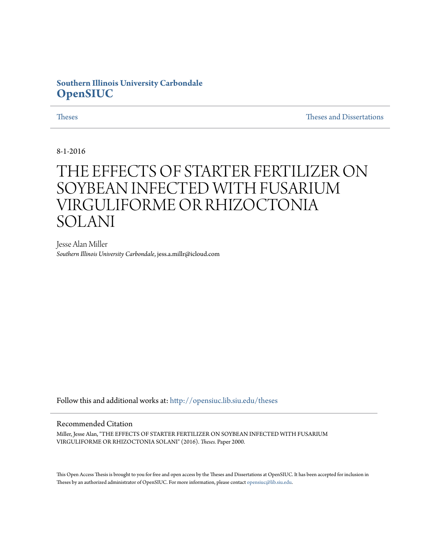# **Southern Illinois University Carbondale [OpenSIUC](http://opensiuc.lib.siu.edu?utm_source=opensiuc.lib.siu.edu%2Ftheses%2F2000&utm_medium=PDF&utm_campaign=PDFCoverPages)**

[Theses](http://opensiuc.lib.siu.edu/theses?utm_source=opensiuc.lib.siu.edu%2Ftheses%2F2000&utm_medium=PDF&utm_campaign=PDFCoverPages) and Dissertations and [Theses and Dissertations](http://opensiuc.lib.siu.edu/etd?utm_source=opensiuc.lib.siu.edu%2Ftheses%2F2000&utm_medium=PDF&utm_campaign=PDFCoverPages) and Theses and Dissertations and Theses and Dissertations and Theses and Dissertations and Theses and Dissertations and Theses and Dissertations and Theses and Disserta

8-1-2016

# THE EFFECTS OF STARTER FERTILIZER ON SOYBEAN INFECTED WITH FUSARIUM VIRGULIFORME OR RHIZOCTONIA SOLANI

Jesse Alan Miller *Southern Illinois University Carbondale*, jess.a.millr@icloud.com

Follow this and additional works at: [http://opensiuc.lib.siu.edu/theses](http://opensiuc.lib.siu.edu/theses?utm_source=opensiuc.lib.siu.edu%2Ftheses%2F2000&utm_medium=PDF&utm_campaign=PDFCoverPages)

#### Recommended Citation

Miller, Jesse Alan, "THE EFFECTS OF STARTER FERTILIZER ON SOYBEAN INFECTED WITH FUSARIUM VIRGULIFORME OR RHIZOCTONIA SOLANI" (2016). *Theses.* Paper 2000.

This Open Access Thesis is brought to you for free and open access by the Theses and Dissertations at OpenSIUC. It has been accepted for inclusion in Theses by an authorized administrator of OpenSIUC. For more information, please contact [opensiuc@lib.siu.edu](mailto:opensiuc@lib.siu.edu).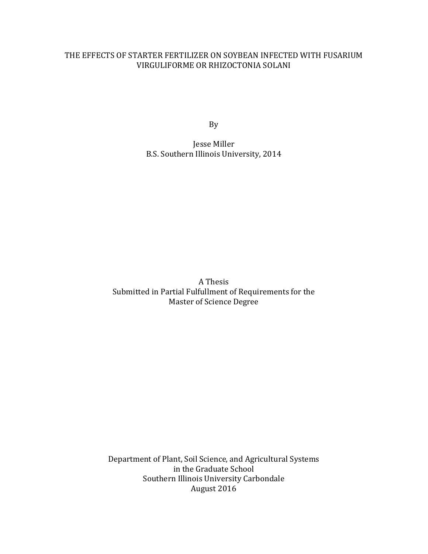### THE EFFECTS OF STARTER FERTILIZER ON SOYBEAN INFECTED WITH FUSARIUM VIRGULIFORME OR RHIZOCTONIA SOLANI

By

Jesse Miller B.S. Southern Illinois University, 2014

A Thesis Submitted in Partial Fulfullment of Requirements for the Master of Science Degree

Department of Plant, Soil Science, and Agricultural Systems in the Graduate School Southern Illinois University Carbondale August 2016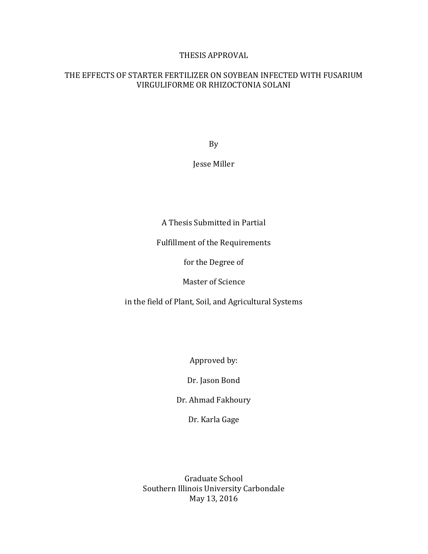#### THESIS APPROVAL

#### THE EFFECTS OF STARTER FERTILIZER ON SOYBEAN INFECTED WITH FUSARIUM VIRGULIFORME OR RHIZOCTONIA SOLANI

By

#### Jesse Miller

A Thesis Submitted in Partial

Fulfillment of the Requirements

for the Degree of

Master of Science

in the field of Plant, Soil, and Agricultural Systems

Approved by:

Dr. Jason Bond

Dr. Ahmad Fakhoury

Dr. Karla Gage

Graduate School Southern Illinois University Carbondale May 13, 2016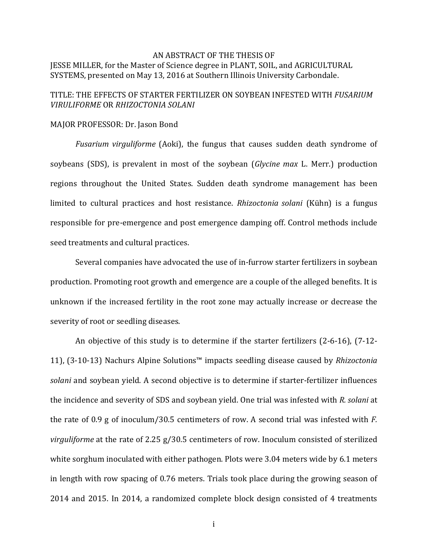#### AN ABSTRACT OF THE THESIS OF JESSE MILLER, for the Master of Science degree in PLANT, SOIL, and AGRICULTURAL SYSTEMS, presented on May 13, 2016 at Southern Illinois University Carbondale.

#### TITLE: THE EFFECTS OF STARTER FERTILIZER ON SOYBEAN INFESTED WITH *FUSARIUM VIRULIFORME* OR *RHIZOCTONIA SOLANI*

#### MAJOR PROFESSOR: Dr. Jason Bond

*Fusarium virguliforme* (Aoki), the fungus that causes sudden death syndrome of soybeans (SDS), is prevalent in most of the soybean (*Glycine max* L. Merr.) production regions throughout the United States. Sudden death syndrome management has been limited to cultural practices and host resistance. *Rhizoctonia solani* (Kühn) is a fungus responsible for pre-emergence and post emergence damping off. Control methods include seed treatments and cultural practices.

Several companies have advocated the use of in-furrow starter fertilizers in soybean production. Promoting root growth and emergence are a couple of the alleged benefits. It is unknown if the increased fertility in the root zone may actually increase or decrease the severity of root or seedling diseases.

An objective of this study is to determine if the starter fertilizers (2-6-16), (7-12- 11), (3-10-13) Nachurs Alpine Solutions™ impacts seedling disease caused by *Rhizoctonia solani* and soybean yield. A second objective is to determine if starter-fertilizer influences the incidence and severity of SDS and soybean yield. One trial was infested with *R. solani* at the rate of 0.9 g of inoculum/30.5 centimeters of row. A second trial was infested with *F. virguliforme* at the rate of 2.25 g/30.5 centimeters of row. Inoculum consisted of sterilized white sorghum inoculated with either pathogen. Plots were 3.04 meters wide by 6.1 meters in length with row spacing of 0.76 meters. Trials took place during the growing season of 2014 and 2015. In 2014, a randomized complete block design consisted of 4 treatments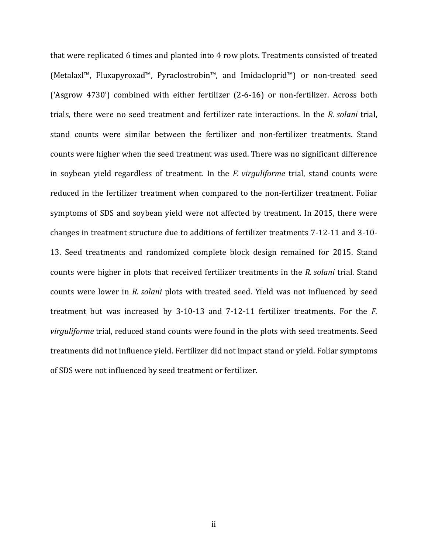that were replicated 6 times and planted into 4 row plots. Treatments consisted of treated (Metalaxl™, Fluxapyroxad™, Pyraclostrobin™, and Imidacloprid™) or non-treated seed ('Asgrow 4730') combined with either fertilizer (2-6-16) or non-fertilizer. Across both trials, there were no seed treatment and fertilizer rate interactions. In the *R. solani* trial, stand counts were similar between the fertilizer and non-fertilizer treatments. Stand counts were higher when the seed treatment was used. There was no significant difference in soybean yield regardless of treatment. In the *F. virguliforme* trial, stand counts were reduced in the fertilizer treatment when compared to the non-fertilizer treatment. Foliar symptoms of SDS and soybean yield were not affected by treatment. In 2015, there were changes in treatment structure due to additions of fertilizer treatments 7-12-11 and 3-10- 13. Seed treatments and randomized complete block design remained for 2015. Stand counts were higher in plots that received fertilizer treatments in the *R. solani* trial. Stand counts were lower in *R. solani* plots with treated seed. Yield was not influenced by seed treatment but was increased by 3-10-13 and 7-12-11 fertilizer treatments. For the *F. virguliforme* trial, reduced stand counts were found in the plots with seed treatments. Seed treatments did not influence yield. Fertilizer did not impact stand or yield. Foliar symptoms of SDS were not influenced by seed treatment or fertilizer.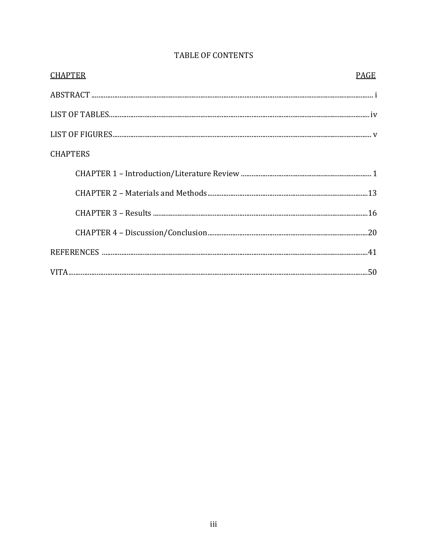| <b>CHAPTER</b>  | PAGE |
|-----------------|------|
|                 |      |
|                 |      |
|                 |      |
| <b>CHAPTERS</b> |      |
|                 |      |
|                 |      |
|                 |      |
|                 |      |
|                 |      |
|                 |      |

# TABLE OF CONTENTS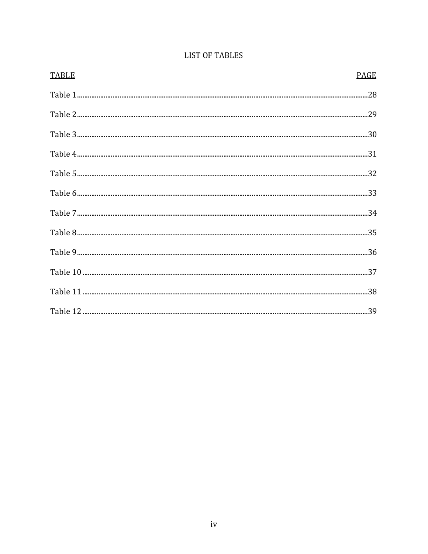| <b>TABLE</b> | PAGE |
|--------------|------|
|              |      |
|              |      |
|              |      |
|              |      |
|              |      |
|              |      |
|              |      |
|              |      |
|              |      |
|              |      |
|              |      |
|              |      |

# **LIST OF TABLES**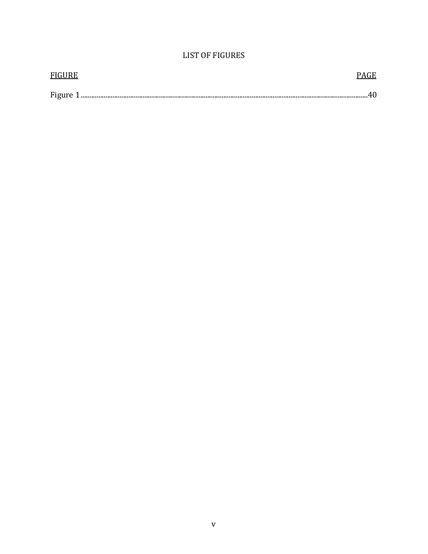# **LIST OF FIGURES**

| <b>FIGURE</b> |  |
|---------------|--|
|               |  |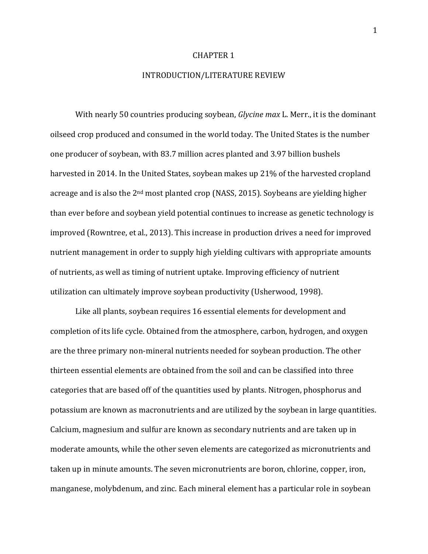#### CHAPTER 1

#### INTRODUCTION/LITERATURE REVIEW

With nearly 50 countries producing soybean, *Glycine max* L. Merr., it is the dominant oilseed crop produced and consumed in the world today. The United States is the number one producer of soybean, with 83.7 million acres planted and 3.97 billion bushels harvested in 2014. In the United States, soybean makes up 21% of the harvested cropland acreage and is also the 2nd most planted crop (NASS, 2015). Soybeans are yielding higher than ever before and soybean yield potential continues to increase as genetic technology is improved (Rowntree, et al., 2013). This increase in production drives a need for improved nutrient management in order to supply high yielding cultivars with appropriate amounts of nutrients, as well as timing of nutrient uptake. Improving efficiency of nutrient utilization can ultimately improve soybean productivity (Usherwood, 1998).

 Like all plants, soybean requires 16 essential elements for development and completion of its life cycle. Obtained from the atmosphere, carbon, hydrogen, and oxygen are the three primary non-mineral nutrients needed for soybean production. The other thirteen essential elements are obtained from the soil and can be classified into three categories that are based off of the quantities used by plants. Nitrogen, phosphorus and potassium are known as macronutrients and are utilized by the soybean in large quantities. Calcium, magnesium and sulfur are known as secondary nutrients and are taken up in moderate amounts, while the other seven elements are categorized as micronutrients and taken up in minute amounts. The seven micronutrients are boron, chlorine, copper, iron, manganese, molybdenum, and zinc. Each mineral element has a particular role in soybean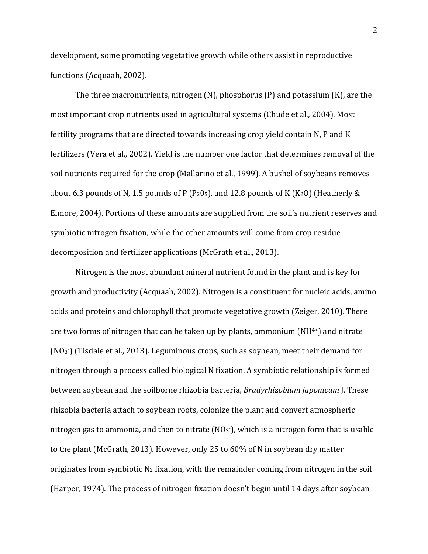development, some promoting vegetative growth while others assist in reproductive functions (Acquaah, 2002).

 The three macronutrients, nitrogen (N), phosphorus (P) and potassium (K), are the most important crop nutrients used in agricultural systems (Chude et al., 2004). Most fertility programs that are directed towards increasing crop yield contain N, P and K fertilizers (Vera et al., 2002). Yield is the number one factor that determines removal of the soil nutrients required for the crop (Mallarino et al., 1999). A bushel of soybeans removes about 6.3 pounds of N, 1.5 pounds of P (P<sub>2</sub>0<sub>5</sub>), and 12.8 pounds of K (K<sub>2</sub>O) (Heatherly & Elmore, 2004). Portions of these amounts are supplied from the soil's nutrient reserves and symbiotic nitrogen fixation, while the other amounts will come from crop residue decomposition and fertilizer applications (McGrath et al., 2013).

Nitrogen is the most abundant mineral nutrient found in the plant and is key for growth and productivity (Acquaah, 2002). Nitrogen is a constituent for nucleic acids, amino acids and proteins and chlorophyll that promote vegetative growth (Zeiger, 2010). There are two forms of nitrogen that can be taken up by plants, ammonium  $(NH<sup>4+</sup>)$  and nitrate (NO<sup>3</sup> -) (Tisdale et al., 2013). Leguminous crops, such as soybean, meet their demand for nitrogen through a process called biological N fixation. A symbiotic relationship is formed between soybean and the soilborne rhizobia bacteria, *Bradyrhizobium japonicum* J. These rhizobia bacteria attach to soybean roots, colonize the plant and convert atmospheric nitrogen gas to ammonia, and then to nitrate (NO3<sup>-</sup>), which is a nitrogen form that is usable to the plant (McGrath, 2013). However, only 25 to 60% of N in soybean dry matter originates from symbiotic  $N_2$  fixation, with the remainder coming from nitrogen in the soil (Harper, 1974). The process of nitrogen fixation doesn't begin until 14 days after soybean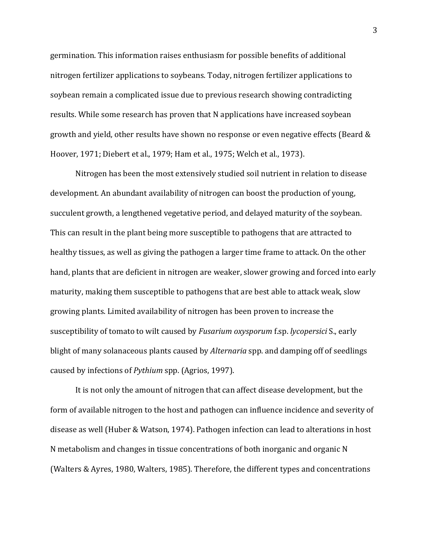germination. This information raises enthusiasm for possible benefits of additional nitrogen fertilizer applications to soybeans. Today, nitrogen fertilizer applications to soybean remain a complicated issue due to previous research showing contradicting results. While some research has proven that N applications have increased soybean growth and yield, other results have shown no response or even negative effects (Beard & Hoover, 1971; Diebert et al., 1979; Ham et al., 1975; Welch et al., 1973).

Nitrogen has been the most extensively studied soil nutrient in relation to disease development. An abundant availability of nitrogen can boost the production of young, succulent growth, a lengthened vegetative period, and delayed maturity of the soybean. This can result in the plant being more susceptible to pathogens that are attracted to healthy tissues, as well as giving the pathogen a larger time frame to attack. On the other hand, plants that are deficient in nitrogen are weaker, slower growing and forced into early maturity, making them susceptible to pathogens that are best able to attack weak, slow growing plants. Limited availability of nitrogen has been proven to increase the susceptibility of tomato to wilt caused by *Fusarium oxysporum* f.sp. *lycopersici* S., early blight of many solanaceous plants caused by *Alternaria* spp. and damping off of seedlings caused by infections of *Pythium* spp. (Agrios, 1997).

It is not only the amount of nitrogen that can affect disease development, but the form of available nitrogen to the host and pathogen can influence incidence and severity of disease as well (Huber & Watson, 1974). Pathogen infection can lead to alterations in host N metabolism and changes in tissue concentrations of both inorganic and organic N (Walters & Ayres, 1980, Walters, 1985). Therefore, the different types and concentrations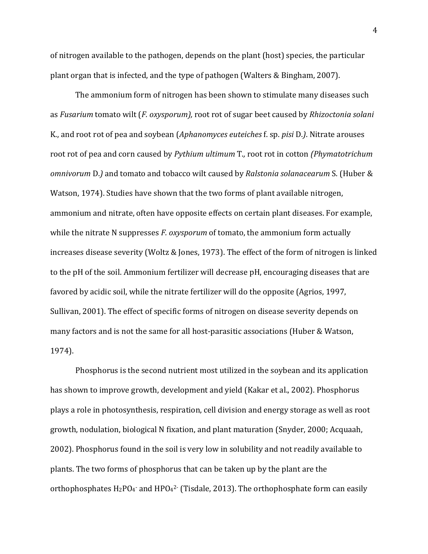of nitrogen available to the pathogen, depends on the plant (host) species, the particular plant organ that is infected, and the type of pathogen (Walters & Bingham, 2007).

The ammonium form of nitrogen has been shown to stimulate many diseases such as *Fusarium* tomato wilt (*F. oxysporum),* root rot of sugar beet caused by *Rhizoctonia solani*  K., and root rot of pea and soybean (*Aphanomyces euteiches* f. sp. *pisi* D.*)*. Nitrate arouses root rot of pea and corn caused by *Pythium ultimum* T.*,* root rot in cotton *(Phymatotrichum omnivorum* D.*)* and tomato and tobacco wilt caused by *Ralstonia solanacearum* S. (Huber & Watson, 1974). Studies have shown that the two forms of plant available nitrogen, ammonium and nitrate, often have opposite effects on certain plant diseases. For example, while the nitrate N suppresses *F. oxysporum* of tomato, the ammonium form actually increases disease severity (Woltz & Jones, 1973). The effect of the form of nitrogen is linked to the pH of the soil. Ammonium fertilizer will decrease pH, encouraging diseases that are favored by acidic soil, while the nitrate fertilizer will do the opposite (Agrios, 1997, Sullivan, 2001). The effect of specific forms of nitrogen on disease severity depends on many factors and is not the same for all host-parasitic associations (Huber & Watson, 1974).

Phosphorus is the second nutrient most utilized in the soybean and its application has shown to improve growth, development and yield (Kakar et al., 2002). Phosphorus plays a role in photosynthesis, respiration, cell division and energy storage as well as root growth, nodulation, biological N fixation, and plant maturation (Snyder, 2000; Acquaah, 2002). Phosphorus found in the soil is very low in solubility and not readily available to plants. The two forms of phosphorus that can be taken up by the plant are the orthophosphates  $H_2PO_4$  and  $HPO_4^2$  (Tisdale, 2013). The orthophosphate form can easily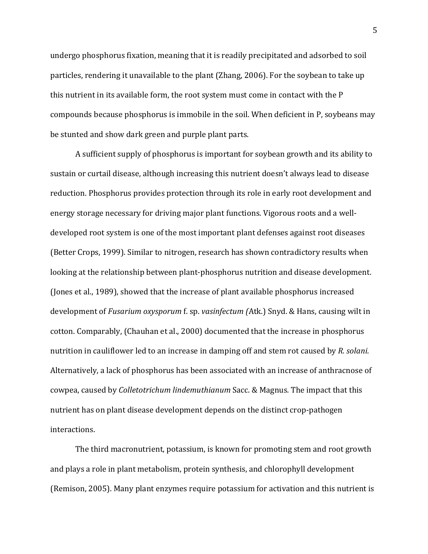undergo phosphorus fixation, meaning that it is readily precipitated and adsorbed to soil particles, rendering it unavailable to the plant (Zhang, 2006). For the soybean to take up this nutrient in its available form, the root system must come in contact with the P compounds because phosphorus is immobile in the soil. When deficient in P, soybeans may be stunted and show dark green and purple plant parts.

A sufficient supply of phosphorus is important for soybean growth and its ability to sustain or curtail disease, although increasing this nutrient doesn't always lead to disease reduction. Phosphorus provides protection through its role in early root development and energy storage necessary for driving major plant functions. Vigorous roots and a welldeveloped root system is one of the most important plant defenses against root diseases (Better Crops, 1999). Similar to nitrogen, research has shown contradictory results when looking at the relationship between plant-phosphorus nutrition and disease development. (Jones et al., 1989), showed that the increase of plant available phosphorus increased development of *Fusarium oxysporum* f. sp. *vasinfectum (*Atk.) Snyd. & Hans, causing wilt in cotton. Comparably, (Chauhan et al., 2000) documented that the increase in phosphorus nutrition in cauliflower led to an increase in damping off and stem rot caused by *R. solani*. Alternatively, a lack of phosphorus has been associated with an increase of anthracnose of cowpea, caused by *Colletotrichum lindemuthianum* Sacc. & Magnus*.* The impact that this nutrient has on plant disease development depends on the distinct crop-pathogen interactions.

The third macronutrient, potassium, is known for promoting stem and root growth and plays a role in plant metabolism, protein synthesis, and chlorophyll development (Remison, 2005). Many plant enzymes require potassium for activation and this nutrient is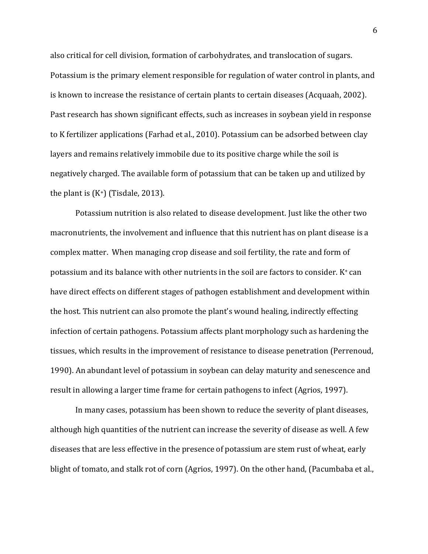also critical for cell division, formation of carbohydrates, and translocation of sugars. Potassium is the primary element responsible for regulation of water control in plants, and is known to increase the resistance of certain plants to certain diseases (Acquaah, 2002). Past research has shown significant effects, such as increases in soybean yield in response to K fertilizer applications (Farhad et al., 2010). Potassium can be adsorbed between clay layers and remains relatively immobile due to its positive charge while the soil is negatively charged. The available form of potassium that can be taken up and utilized by the plant is  $(K^+)$  (Tisdale, 2013).

Potassium nutrition is also related to disease development. Just like the other two macronutrients, the involvement and influence that this nutrient has on plant disease is a complex matter. When managing crop disease and soil fertility, the rate and form of potassium and its balance with other nutrients in the soil are factors to consider.  $K^+$  can have direct effects on different stages of pathogen establishment and development within the host. This nutrient can also promote the plant's wound healing, indirectly effecting infection of certain pathogens. Potassium affects plant morphology such as hardening the tissues, which results in the improvement of resistance to disease penetration (Perrenoud, 1990). An abundant level of potassium in soybean can delay maturity and senescence and result in allowing a larger time frame for certain pathogens to infect (Agrios, 1997).

In many cases, potassium has been shown to reduce the severity of plant diseases, although high quantities of the nutrient can increase the severity of disease as well. A few diseases that are less effective in the presence of potassium are stem rust of wheat, early blight of tomato, and stalk rot of corn (Agrios, 1997). On the other hand, (Pacumbaba et al.,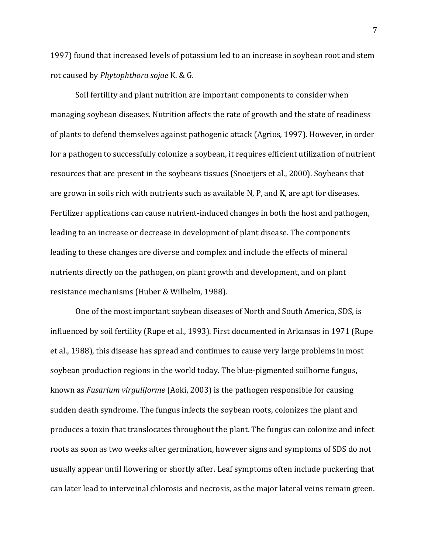1997) found that increased levels of potassium led to an increase in soybean root and stem rot caused by *Phytophthora sojae* K. & G*.* 

Soil fertility and plant nutrition are important components to consider when managing soybean diseases. Nutrition affects the rate of growth and the state of readiness of plants to defend themselves against pathogenic attack (Agrios, 1997). However, in order for a pathogen to successfully colonize a soybean, it requires efficient utilization of nutrient resources that are present in the soybeans tissues (Snoeijers et al., 2000). Soybeans that are grown in soils rich with nutrients such as available N, P, and K, are apt for diseases. Fertilizer applications can cause nutrient-induced changes in both the host and pathogen, leading to an increase or decrease in development of plant disease. The components leading to these changes are diverse and complex and include the effects of mineral nutrients directly on the pathogen, on plant growth and development, and on plant resistance mechanisms (Huber & Wilhelm, 1988).

One of the most important soybean diseases of North and South America, SDS, is influenced by soil fertility (Rupe et al., 1993). First documented in Arkansas in 1971 (Rupe et al., 1988), this disease has spread and continues to cause very large problems in most soybean production regions in the world today. The blue-pigmented soilborne fungus, known as *Fusarium virguliforme* (Aoki, 2003) is the pathogen responsible for causing sudden death syndrome. The fungus infects the soybean roots, colonizes the plant and produces a toxin that translocates throughout the plant. The fungus can colonize and infect roots as soon as two weeks after germination, however signs and symptoms of SDS do not usually appear until flowering or shortly after. Leaf symptoms often include puckering that can later lead to interveinal chlorosis and necrosis, as the major lateral veins remain green.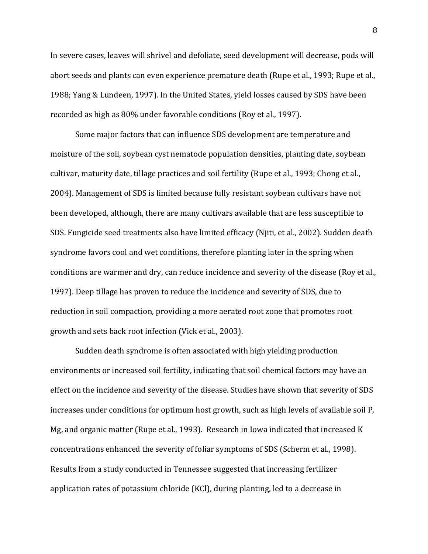In severe cases, leaves will shrivel and defoliate, seed development will decrease, pods will abort seeds and plants can even experience premature death (Rupe et al., 1993; Rupe et al., 1988; Yang & Lundeen, 1997). In the United States, yield losses caused by SDS have been recorded as high as 80% under favorable conditions (Roy et al., 1997).

Some major factors that can influence SDS development are temperature and moisture of the soil, soybean cyst nematode population densities, planting date, soybean cultivar, maturity date, tillage practices and soil fertility (Rupe et al., 1993; Chong et al., 2004). Management of SDS is limited because fully resistant soybean cultivars have not been developed, although, there are many cultivars available that are less susceptible to SDS. Fungicide seed treatments also have limited efficacy (Njiti, et al., 2002). Sudden death syndrome favors cool and wet conditions, therefore planting later in the spring when conditions are warmer and dry, can reduce incidence and severity of the disease (Roy et al., 1997). Deep tillage has proven to reduce the incidence and severity of SDS, due to reduction in soil compaction, providing a more aerated root zone that promotes root growth and sets back root infection (Vick et al., 2003).

Sudden death syndrome is often associated with high yielding production environments or increased soil fertility, indicating that soil chemical factors may have an effect on the incidence and severity of the disease. Studies have shown that severity of SDS increases under conditions for optimum host growth, such as high levels of available soil P, Mg, and organic matter (Rupe et al., 1993). Research in Iowa indicated that increased K concentrations enhanced the severity of foliar symptoms of SDS (Scherm et al., 1998). Results from a study conducted in Tennessee suggested that increasing fertilizer application rates of potassium chloride (KCl), during planting, led to a decrease in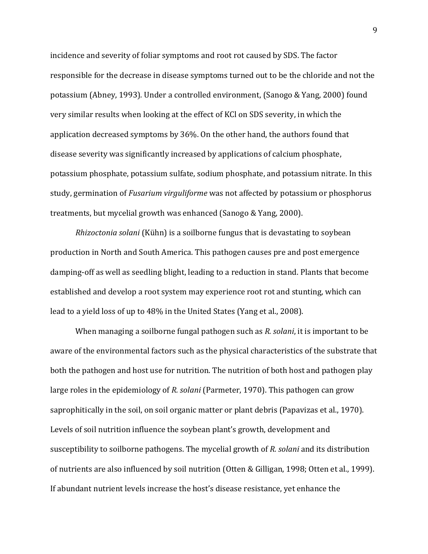incidence and severity of foliar symptoms and root rot caused by SDS. The factor responsible for the decrease in disease symptoms turned out to be the chloride and not the potassium (Abney, 1993)*.* Under a controlled environment, (Sanogo & Yang, 2000) found very similar results when looking at the effect of KCl on SDS severity, in which the application decreased symptoms by 36%. On the other hand, the authors found that disease severity was significantly increased by applications of calcium phosphate, potassium phosphate, potassium sulfate, sodium phosphate, and potassium nitrate. In this study, germination of *Fusarium virguliforme* was not affected by potassium or phosphorus treatments, but mycelial growth was enhanced (Sanogo & Yang, 2000).

*Rhizoctonia solani* (Kühn) is a soilborne fungus that is devastating to soybean production in North and South America. This pathogen causes pre and post emergence damping-off as well as seedling blight, leading to a reduction in stand. Plants that become established and develop a root system may experience root rot and stunting, which can lead to a yield loss of up to 48% in the United States (Yang et al., 2008).

When managing a soilborne fungal pathogen such as *R. solani*, it is important to be aware of the environmental factors such as the physical characteristics of the substrate that both the pathogen and host use for nutrition. The nutrition of both host and pathogen play large roles in the epidemiology of *R. solani* (Parmeter, 1970). This pathogen can grow saprophitically in the soil, on soil organic matter or plant debris (Papavizas et al., 1970). Levels of soil nutrition influence the soybean plant's growth, development and susceptibility to soilborne pathogens. The mycelial growth of *R. solani* and its distribution of nutrients are also influenced by soil nutrition (Otten & Gilligan, 1998; Otten et al., 1999). If abundant nutrient levels increase the host's disease resistance, yet enhance the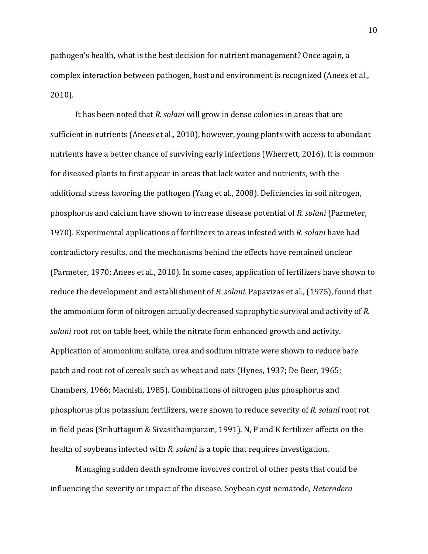pathogen's health, what is the best decision for nutrient management? Once again, a complex interaction between pathogen, host and environment is recognized (Anees et al., 2010).

It has been noted that *R. solani* will grow in dense colonies in areas that are sufficient in nutrients (Anees et al., 2010), however, young plants with access to abundant nutrients have a better chance of surviving early infections (Wherrett, 2016). It is common for diseased plants to first appear in areas that lack water and nutrients, with the additional stress favoring the pathogen (Yang et al., 2008). Deficiencies in soil nitrogen, phosphorus and calcium have shown to increase disease potential of *R. solani* (Parmeter, 1970). Experimental applications of fertilizers to areas infested with *R. solani* have had contradictory results, and the mechanisms behind the effects have remained unclear (Parmeter, 1970; Anees et al., 2010). In some cases, application of fertilizers have shown to reduce the development and establishment of *R. solani*. Papavizas et al., (1975), found that the ammonium form of nitrogen actually decreased saprophytic survival and activity of *R. solani* root rot on table beet, while the nitrate form enhanced growth and activity. Application of ammonium sulfate, urea and sodium nitrate were shown to reduce bare patch and root rot of cereals such as wheat and oats (Hynes, 1937; De Beer, 1965; Chambers, 1966; Macnish, 1985). Combinations of nitrogen plus phosphorus and phosphorus plus potassium fertilizers, were shown to reduce severity of *R. solani* root rot in field peas (Srihuttagum & Sivasithamparam, 1991). N, P and K fertilizer affects on the health of soybeans infected with *R. solani* is a topic that requires investigation.

Managing sudden death syndrome involves control of other pests that could be influencing the severity or impact of the disease. Soybean cyst nematode, *Heterodera*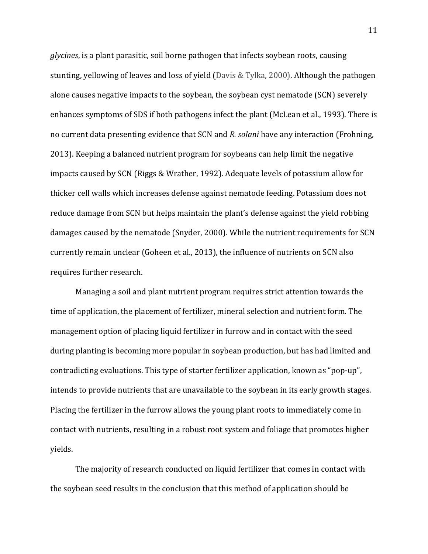*glycines*, is a plant parasitic, soil borne pathogen that infects soybean roots, causing stunting, yellowing of leaves and loss of yield (Davis & Tylka, 2000). Although the pathogen alone causes negative impacts to the soybean, the soybean cyst nematode (SCN) severely enhances symptoms of SDS if both pathogens infect the plant (McLean et al., 1993). There is no current data presenting evidence that SCN and *R. solani* have any interaction (Frohning, 2013). Keeping a balanced nutrient program for soybeans can help limit the negative impacts caused by SCN (Riggs & Wrather, 1992). Adequate levels of potassium allow for thicker cell walls which increases defense against nematode feeding. Potassium does not reduce damage from SCN but helps maintain the plant's defense against the yield robbing damages caused by the nematode (Snyder, 2000). While the nutrient requirements for SCN currently remain unclear (Goheen et al., 2013), the influence of nutrients on SCN also requires further research.

Managing a soil and plant nutrient program requires strict attention towards the time of application, the placement of fertilizer, mineral selection and nutrient form. The management option of placing liquid fertilizer in furrow and in contact with the seed during planting is becoming more popular in soybean production, but has had limited and contradicting evaluations. This type of starter fertilizer application, known as "pop-up", intends to provide nutrients that are unavailable to the soybean in its early growth stages. Placing the fertilizer in the furrow allows the young plant roots to immediately come in contact with nutrients, resulting in a robust root system and foliage that promotes higher yields.

The majority of research conducted on liquid fertilizer that comes in contact with the soybean seed results in the conclusion that this method of application should be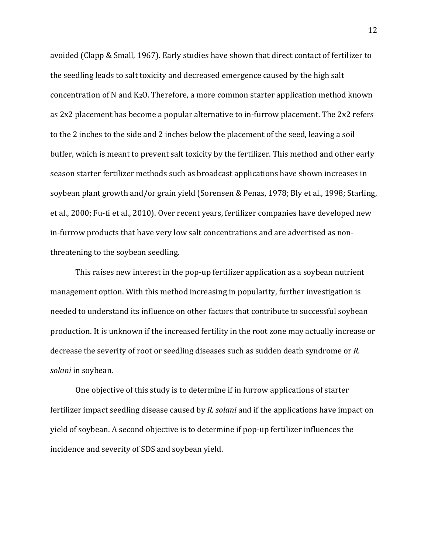avoided (Clapp & Small, 1967). Early studies have shown that direct contact of fertilizer to the seedling leads to salt toxicity and decreased emergence caused by the high salt concentration of N and K2O. Therefore, a more common starter application method known as 2x2 placement has become a popular alternative to in-furrow placement. The 2x2 refers to the 2 inches to the side and 2 inches below the placement of the seed, leaving a soil buffer, which is meant to prevent salt toxicity by the fertilizer. This method and other early season starter fertilizer methods such as broadcast applications have shown increases in soybean plant growth and/or grain yield (Sorensen & Penas, 1978; Bly et al., 1998; Starling, et al., 2000; Fu-ti et al., 2010). Over recent years, fertilizer companies have developed new in-furrow products that have very low salt concentrations and are advertised as nonthreatening to the soybean seedling.

This raises new interest in the pop-up fertilizer application as a soybean nutrient management option. With this method increasing in popularity, further investigation is needed to understand its influence on other factors that contribute to successful soybean production. It is unknown if the increased fertility in the root zone may actually increase or decrease the severity of root or seedling diseases such as sudden death syndrome or *R. solani* in soybean.

One objective of this study is to determine if in furrow applications of starter fertilizer impact seedling disease caused by *R. solani* and if the applications have impact on yield of soybean. A second objective is to determine if pop-up fertilizer influences the incidence and severity of SDS and soybean yield.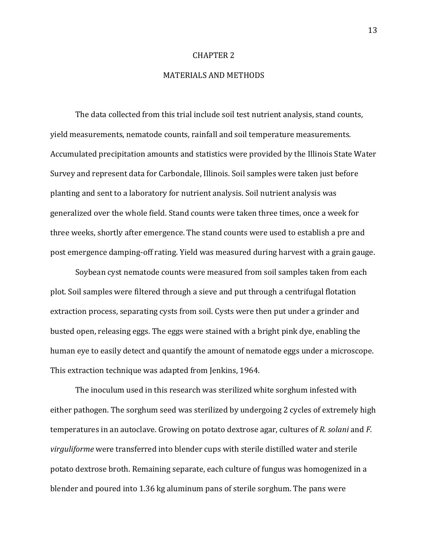#### CHAPTER 2

#### MATERIALS AND METHODS

The data collected from this trial include soil test nutrient analysis, stand counts, yield measurements, nematode counts, rainfall and soil temperature measurements. Accumulated precipitation amounts and statistics were provided by the Illinois State Water Survey and represent data for Carbondale, Illinois. Soil samples were taken just before planting and sent to a laboratory for nutrient analysis. Soil nutrient analysis was generalized over the whole field. Stand counts were taken three times, once a week for three weeks, shortly after emergence. The stand counts were used to establish a pre and post emergence damping-off rating. Yield was measured during harvest with a grain gauge.

Soybean cyst nematode counts were measured from soil samples taken from each plot. Soil samples were filtered through a sieve and put through a centrifugal flotation extraction process, separating cysts from soil. Cysts were then put under a grinder and busted open, releasing eggs. The eggs were stained with a bright pink dye, enabling the human eye to easily detect and quantify the amount of nematode eggs under a microscope. This extraction technique was adapted from Jenkins, 1964.

The inoculum used in this research was sterilized white sorghum infested with either pathogen. The sorghum seed was sterilized by undergoing 2 cycles of extremely high temperatures in an autoclave. Growing on potato dextrose agar, cultures of *R. solani* and *F. virguliforme* were transferred into blender cups with sterile distilled water and sterile potato dextrose broth. Remaining separate, each culture of fungus was homogenized in a blender and poured into 1.36 kg aluminum pans of sterile sorghum. The pans were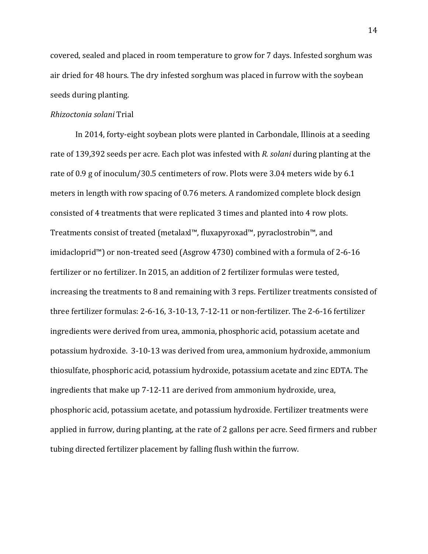covered, sealed and placed in room temperature to grow for 7 days. Infested sorghum was air dried for 48 hours. The dry infested sorghum was placed in furrow with the soybean seeds during planting.

#### *Rhizoctonia solani* Trial

In 2014, forty-eight soybean plots were planted in Carbondale, Illinois at a seeding rate of 139,392 seeds per acre. Each plot was infested with *R. solani* during planting at the rate of 0.9 g of inoculum/30.5 centimeters of row. Plots were 3.04 meters wide by 6.1 meters in length with row spacing of 0.76 meters. A randomized complete block design consisted of 4 treatments that were replicated 3 times and planted into 4 row plots. Treatments consist of treated (metalaxl™, fluxapyroxad™, pyraclostrobin™, and imidacloprid™) or non-treated seed (Asgrow 4730) combined with a formula of 2-6-16 fertilizer or no fertilizer. In 2015, an addition of 2 fertilizer formulas were tested, increasing the treatments to 8 and remaining with 3 reps. Fertilizer treatments consisted of three fertilizer formulas: 2-6-16, 3-10-13, 7-12-11 or non-fertilizer. The 2-6-16 fertilizer ingredients were derived from urea, ammonia, phosphoric acid, potassium acetate and potassium hydroxide. 3-10-13 was derived from urea, ammonium hydroxide, ammonium thiosulfate, phosphoric acid, potassium hydroxide, potassium acetate and zinc EDTA. The ingredients that make up 7-12-11 are derived from ammonium hydroxide, urea, phosphoric acid, potassium acetate, and potassium hydroxide. Fertilizer treatments were applied in furrow, during planting, at the rate of 2 gallons per acre. Seed firmers and rubber tubing directed fertilizer placement by falling flush within the furrow.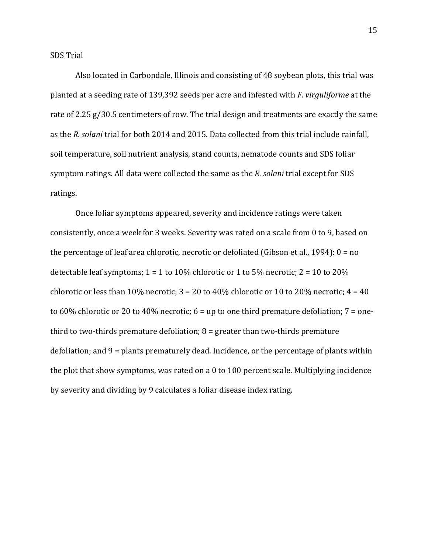Also located in Carbondale, Illinois and consisting of 48 soybean plots, this trial was planted at a seeding rate of 139,392 seeds per acre and infested with *F. virguliforme* at the rate of 2.25 g/30.5 centimeters of row. The trial design and treatments are exactly the same as the *R. solani* trial for both 2014 and 2015. Data collected from this trial include rainfall, soil temperature, soil nutrient analysis, stand counts, nematode counts and SDS foliar symptom ratings. All data were collected the same as the *R. solani* trial except for SDS ratings.

Once foliar symptoms appeared, severity and incidence ratings were taken consistently, once a week for 3 weeks. Severity was rated on a scale from 0 to 9, based on the percentage of leaf area chlorotic, necrotic or defoliated (Gibson et al., 1994): 0 = no detectable leaf symptoms;  $1 = 1$  to  $10\%$  chlorotic or 1 to  $5\%$  necrotic;  $2 = 10$  to  $20\%$ chlorotic or less than 10% necrotic;  $3 = 20$  to 40% chlorotic or 10 to 20% necrotic;  $4 = 40$ to 60% chlorotic or 20 to 40% necrotic;  $6 =$  up to one third premature defoliation;  $7 =$  onethird to two-thirds premature defoliation;  $8 =$  greater than two-thirds premature defoliation; and 9 = plants prematurely dead. Incidence, or the percentage of plants within the plot that show symptoms, was rated on a 0 to 100 percent scale. Multiplying incidence by severity and dividing by 9 calculates a foliar disease index rating.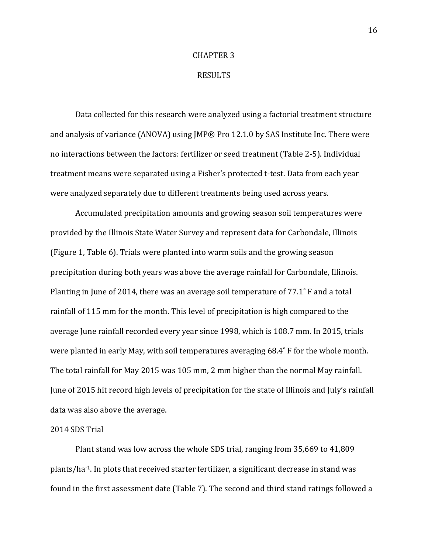#### CHAPTER 3

#### RESULTS

Data collected for this research were analyzed using a factorial treatment structure and analysis of variance (ANOVA) using JMP® Pro 12.1.0 by SAS Institute Inc. There were no interactions between the factors: fertilizer or seed treatment (Table 2-5). Individual treatment means were separated using a Fisher's protected t-test. Data from each year were analyzed separately due to different treatments being used across years.

Accumulated precipitation amounts and growing season soil temperatures were provided by the Illinois State Water Survey and represent data for Carbondale, Illinois (Figure 1, Table 6). Trials were planted into warm soils and the growing season precipitation during both years was above the average rainfall for Carbondale, Illinois. Planting in June of 2014, there was an average soil temperature of 77.1˚ F and a total rainfall of 115 mm for the month. This level of precipitation is high compared to the average June rainfall recorded every year since 1998, which is 108.7 mm. In 2015, trials were planted in early May, with soil temperatures averaging 68.4˚ F for the whole month. The total rainfall for May 2015 was 105 mm, 2 mm higher than the normal May rainfall. June of 2015 hit record high levels of precipitation for the state of Illinois and July's rainfall data was also above the average.

#### 2014 SDS Trial

Plant stand was low across the whole SDS trial, ranging from 35,669 to 41,809 plants/ha-1. In plots that received starter fertilizer, a significant decrease in stand was found in the first assessment date (Table 7). The second and third stand ratings followed a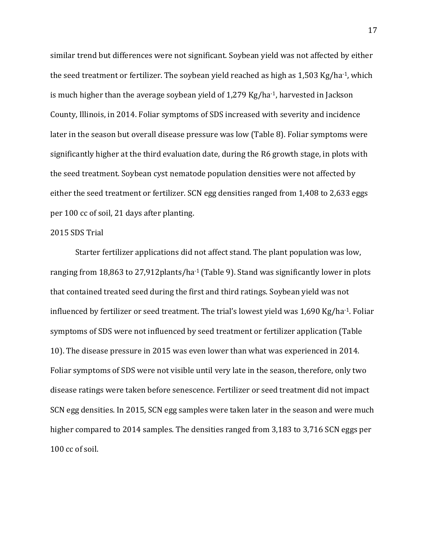similar trend but differences were not significant. Soybean yield was not affected by either the seed treatment or fertilizer. The soybean yield reached as high as 1,503 Kg/ha-1, which is much higher than the average soybean yield of 1,279 Kg/ha-1, harvested in Jackson County, Illinois, in 2014. Foliar symptoms of SDS increased with severity and incidence later in the season but overall disease pressure was low (Table 8). Foliar symptoms were significantly higher at the third evaluation date, during the R6 growth stage, in plots with the seed treatment. Soybean cyst nematode population densities were not affected by either the seed treatment or fertilizer. SCN egg densities ranged from 1,408 to 2,633 eggs per 100 cc of soil, 21 days after planting.

#### 2015 SDS Trial

 Starter fertilizer applications did not affect stand. The plant population was low, ranging from 18,863 to 27,912 plants/ha<sup>-1</sup> (Table 9). Stand was significantly lower in plots that contained treated seed during the first and third ratings. Soybean yield was not influenced by fertilizer or seed treatment. The trial's lowest yield was 1,690 Kg/ha-1. Foliar symptoms of SDS were not influenced by seed treatment or fertilizer application (Table 10). The disease pressure in 2015 was even lower than what was experienced in 2014. Foliar symptoms of SDS were not visible until very late in the season, therefore, only two disease ratings were taken before senescence. Fertilizer or seed treatment did not impact SCN egg densities. In 2015, SCN egg samples were taken later in the season and were much higher compared to 2014 samples. The densities ranged from 3,183 to 3,716 SCN eggs per 100 cc of soil.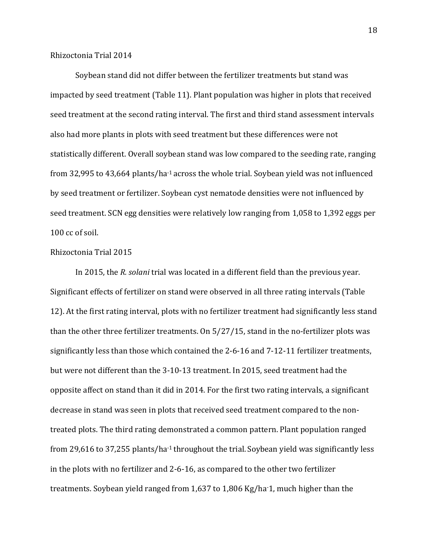#### Rhizoctonia Trial 2014

 Soybean stand did not differ between the fertilizer treatments but stand was impacted by seed treatment (Table 11). Plant population was higher in plots that received seed treatment at the second rating interval. The first and third stand assessment intervals also had more plants in plots with seed treatment but these differences were not statistically different. Overall soybean stand was low compared to the seeding rate, ranging from 32,995 to 43,664 plants/ha<sup>-1</sup> across the whole trial. Soybean yield was not influenced by seed treatment or fertilizer. Soybean cyst nematode densities were not influenced by seed treatment. SCN egg densities were relatively low ranging from 1,058 to 1,392 eggs per 100 cc of soil.

#### Rhizoctonia Trial 2015

 In 2015, the *R. solani* trial was located in a different field than the previous year. Significant effects of fertilizer on stand were observed in all three rating intervals (Table 12). At the first rating interval, plots with no fertilizer treatment had significantly less stand than the other three fertilizer treatments. On 5/27/15, stand in the no-fertilizer plots was significantly less than those which contained the 2-6-16 and 7-12-11 fertilizer treatments, but were not different than the 3-10-13 treatment. In 2015, seed treatment had the opposite affect on stand than it did in 2014. For the first two rating intervals, a significant decrease in stand was seen in plots that received seed treatment compared to the nontreated plots. The third rating demonstrated a common pattern. Plant population ranged from 29,616 to 37,255 plants/ha<sup>-1</sup> throughout the trial. Soybean yield was significantly less in the plots with no fertilizer and 2-6-16, as compared to the other two fertilizer treatments. Soybean yield ranged from 1,637 to 1,806 Kg/ha-1, much higher than the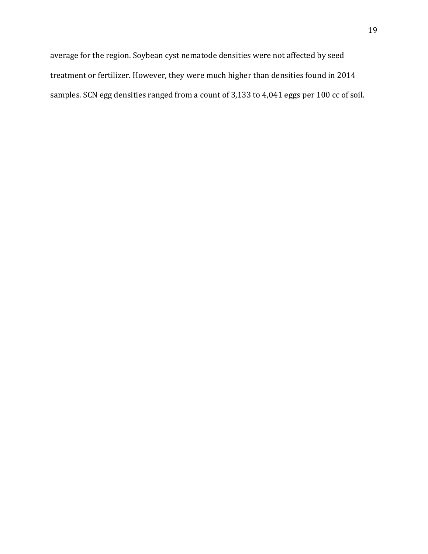average for the region. Soybean cyst nematode densities were not affected by seed treatment or fertilizer. However, they were much higher than densities found in 2014 samples. SCN egg densities ranged from a count of 3,133 to 4,041 eggs per 100 cc of soil.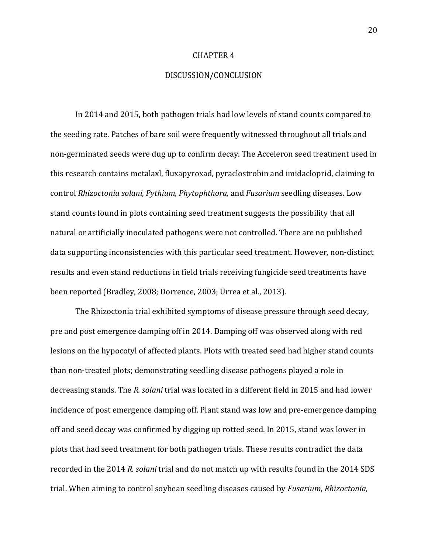#### CHAPTER 4

#### DISCUSSION/CONCLUSION

In 2014 and 2015, both pathogen trials had low levels of stand counts compared to the seeding rate. Patches of bare soil were frequently witnessed throughout all trials and non-germinated seeds were dug up to confirm decay. The Acceleron seed treatment used in this research contains metalaxl, fluxapyroxad, pyraclostrobin and imidacloprid, claiming to control *Rhizoctonia solani, Pythium, Phytophthora,* and *Fusarium* seedling diseases. Low stand counts found in plots containing seed treatment suggests the possibility that all natural or artificially inoculated pathogens were not controlled. There are no published data supporting inconsistencies with this particular seed treatment. However, non-distinct results and even stand reductions in field trials receiving fungicide seed treatments have been reported (Bradley, 2008; Dorrence, 2003; Urrea et al., 2013).

The Rhizoctonia trial exhibited symptoms of disease pressure through seed decay, pre and post emergence damping off in 2014. Damping off was observed along with red lesions on the hypocotyl of affected plants. Plots with treated seed had higher stand counts than non-treated plots; demonstrating seedling disease pathogens played a role in decreasing stands. The *R. solani* trial was located in a different field in 2015 and had lower incidence of post emergence damping off. Plant stand was low and pre-emergence damping off and seed decay was confirmed by digging up rotted seed. In 2015, stand was lower in plots that had seed treatment for both pathogen trials. These results contradict the data recorded in the 2014 *R. solani* trial and do not match up with results found in the 2014 SDS trial. When aiming to control soybean seedling diseases caused by *Fusarium, Rhizoctonia,*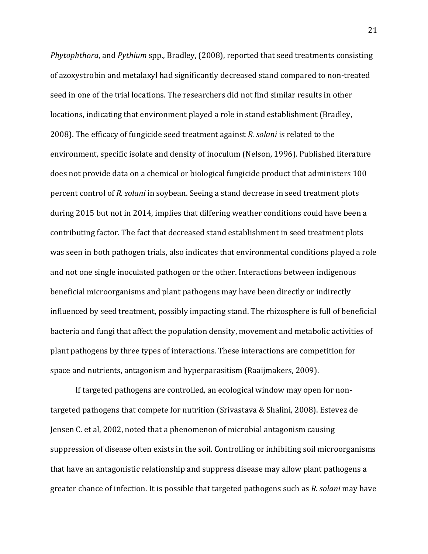*Phytophthora*, and *Pythium* spp., Bradley, (2008), reported that seed treatments consisting of azoxystrobin and metalaxyl had significantly decreased stand compared to non-treated seed in one of the trial locations. The researchers did not find similar results in other locations, indicating that environment played a role in stand establishment (Bradley, 2008). The efficacy of fungicide seed treatment against *R. solani* is related to the environment, specific isolate and density of inoculum (Nelson, 1996). Published literature does not provide data on a chemical or biological fungicide product that administers 100 percent control of *R. solani* in soybean. Seeing a stand decrease in seed treatment plots during 2015 but not in 2014, implies that differing weather conditions could have been a contributing factor. The fact that decreased stand establishment in seed treatment plots was seen in both pathogen trials, also indicates that environmental conditions played a role and not one single inoculated pathogen or the other. Interactions between indigenous beneficial microorganisms and plant pathogens may have been directly or indirectly influenced by seed treatment, possibly impacting stand. The rhizosphere is full of beneficial bacteria and fungi that affect the population density, movement and metabolic activities of plant pathogens by three types of interactions. These interactions are competition for space and nutrients, antagonism and hyperparasitism (Raaijmakers, 2009).

If targeted pathogens are controlled, an ecological window may open for nontargeted pathogens that compete for nutrition (Srivastava & Shalini, 2008). Estevez de Jensen C. et al, 2002, noted that a phenomenon of microbial antagonism causing suppression of disease often exists in the soil. Controlling or inhibiting soil microorganisms that have an antagonistic relationship and suppress disease may allow plant pathogens a greater chance of infection. It is possible that targeted pathogens such as *R. solani* may have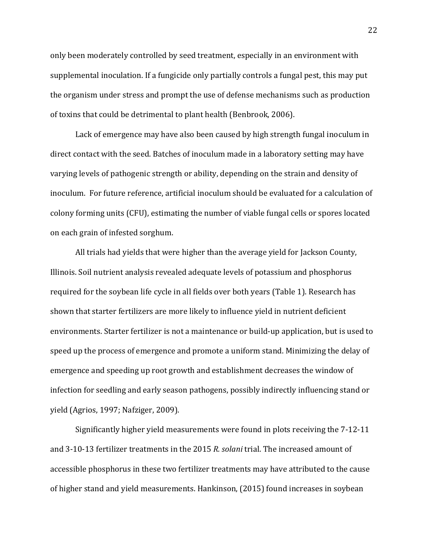only been moderately controlled by seed treatment, especially in an environment with supplemental inoculation. If a fungicide only partially controls a fungal pest, this may put the organism under stress and prompt the use of defense mechanisms such as production of toxins that could be detrimental to plant health (Benbrook, 2006).

Lack of emergence may have also been caused by high strength fungal inoculum in direct contact with the seed. Batches of inoculum made in a laboratory setting may have varying levels of pathogenic strength or ability, depending on the strain and density of inoculum. For future reference, artificial inoculum should be evaluated for a calculation of colony forming units (CFU), estimating the number of viable fungal cells or spores located on each grain of infested sorghum.

All trials had yields that were higher than the average yield for Jackson County, Illinois. Soil nutrient analysis revealed adequate levels of potassium and phosphorus required for the soybean life cycle in all fields over both years (Table 1). Research has shown that starter fertilizers are more likely to influence yield in nutrient deficient environments. Starter fertilizer is not a maintenance or build-up application, but is used to speed up the process of emergence and promote a uniform stand. Minimizing the delay of emergence and speeding up root growth and establishment decreases the window of infection for seedling and early season pathogens, possibly indirectly influencing stand or yield (Agrios, 1997; Nafziger, 2009).

Significantly higher yield measurements were found in plots receiving the 7-12-11 and 3-10-13 fertilizer treatments in the 2015 *R. solani* trial. The increased amount of accessible phosphorus in these two fertilizer treatments may have attributed to the cause of higher stand and yield measurements. Hankinson, (2015) found increases in soybean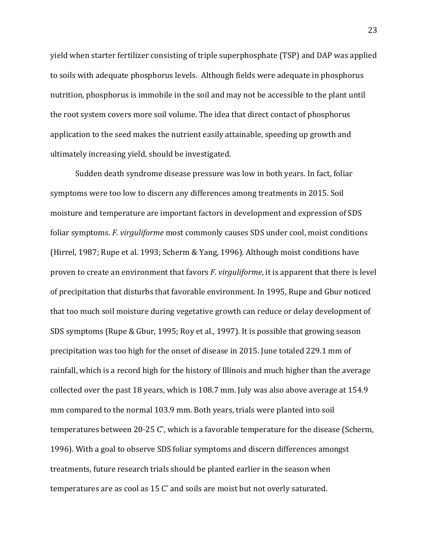yield when starter fertilizer consisting of triple superphosphate (TSP) and DAP was applied to soils with adequate phosphorus levels. Although fields were adequate in phosphorus nutrition, phosphorus is immobile in the soil and may not be accessible to the plant until the root system covers more soil volume. The idea that direct contact of phosphorus application to the seed makes the nutrient easily attainable, speeding up growth and ultimately increasing yield, should be investigated.

Sudden death syndrome disease pressure was low in both years. In fact, foliar symptoms were too low to discern any differences among treatments in 2015. Soil moisture and temperature are important factors in development and expression of SDS foliar symptoms. *F. virguliforme* most commonly causes SDS under cool, moist conditions (Hirrel, 1987; Rupe et al. 1993; Scherm & Yang, 1996). Although moist conditions have proven to create an environment that favors *F. virguliforme*, it is apparent that there is level of precipitation that disturbs that favorable environment. In 1995, Rupe and Gbur noticed that too much soil moisture during vegetative growth can reduce or delay development of SDS symptoms (Rupe & Gbur, 1995; Roy et al., 1997). It is possible that growing season precipitation was too high for the onset of disease in 2015. June totaled 229.1 mm of rainfall, which is a record high for the history of Illinois and much higher than the average collected over the past 18 years, which is 108.7 mm. July was also above average at 154.9 mm compared to the normal 103.9 mm. Both years, trials were planted into soil temperatures between 20-25 C˚, which is a favorable temperature for the disease (Scherm, 1996). With a goal to observe SDS foliar symptoms and discern differences amongst treatments, future research trials should be planted earlier in the season when temperatures are as cool as 15 C˚ and soils are moist but not overly saturated.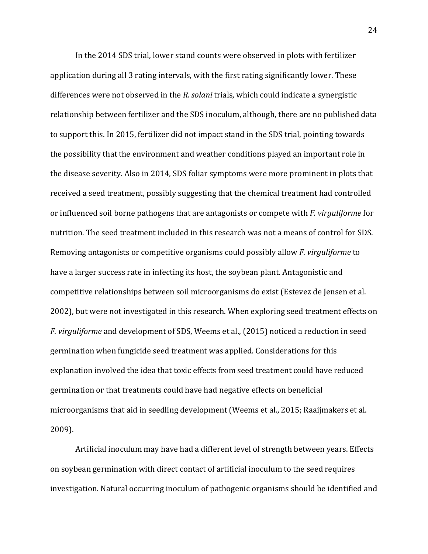In the 2014 SDS trial, lower stand counts were observed in plots with fertilizer application during all 3 rating intervals, with the first rating significantly lower. These differences were not observed in the *R. solani* trials, which could indicate a synergistic relationship between fertilizer and the SDS inoculum, although, there are no published data to support this. In 2015, fertilizer did not impact stand in the SDS trial, pointing towards the possibility that the environment and weather conditions played an important role in the disease severity. Also in 2014, SDS foliar symptoms were more prominent in plots that received a seed treatment, possibly suggesting that the chemical treatment had controlled or influenced soil borne pathogens that are antagonists or compete with *F. virguliforme* for nutrition*.* The seed treatment included in this research was not a means of control for SDS. Removing antagonists or competitive organisms could possibly allow *F. virguliforme* to have a larger success rate in infecting its host, the soybean plant. Antagonistic and competitive relationships between soil microorganisms do exist (Estevez de Jensen et al. 2002), but were not investigated in this research. When exploring seed treatment effects on *F. virguliforme* and development of SDS, Weems et al., (2015) noticed a reduction in seed germination when fungicide seed treatment was applied. Considerations for this explanation involved the idea that toxic effects from seed treatment could have reduced germination or that treatments could have had negative effects on beneficial microorganisms that aid in seedling development (Weems et al., 2015; Raaijmakers et al. 2009).

Artificial inoculum may have had a different level of strength between years. Effects on soybean germination with direct contact of artificial inoculum to the seed requires investigation. Natural occurring inoculum of pathogenic organisms should be identified and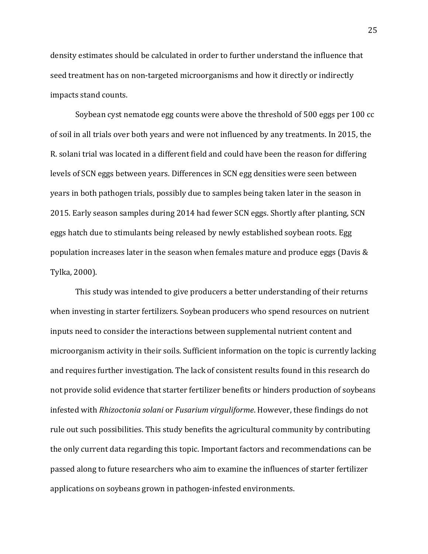density estimates should be calculated in order to further understand the influence that seed treatment has on non-targeted microorganisms and how it directly or indirectly impacts stand counts.

Soybean cyst nematode egg counts were above the threshold of 500 eggs per 100 cc of soil in all trials over both years and were not influenced by any treatments. In 2015, the R. solani trial was located in a different field and could have been the reason for differing levels of SCN eggs between years. Differences in SCN egg densities were seen between years in both pathogen trials, possibly due to samples being taken later in the season in 2015. Early season samples during 2014 had fewer SCN eggs. Shortly after planting, SCN eggs hatch due to stimulants being released by newly established soybean roots. Egg population increases later in the season when females mature and produce eggs (Davis & Tylka, 2000).

This study was intended to give producers a better understanding of their returns when investing in starter fertilizers. Soybean producers who spend resources on nutrient inputs need to consider the interactions between supplemental nutrient content and microorganism activity in their soils. Sufficient information on the topic is currently lacking and requires further investigation. The lack of consistent results found in this research do not provide solid evidence that starter fertilizer benefits or hinders production of soybeans infested with *Rhizoctonia solani* or *Fusarium virguliforme*. However, these findings do not rule out such possibilities. This study benefits the agricultural community by contributing the only current data regarding this topic. Important factors and recommendations can be passed along to future researchers who aim to examine the influences of starter fertilizer applications on soybeans grown in pathogen-infested environments.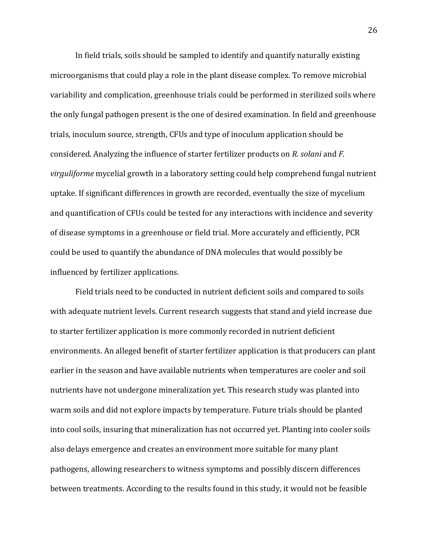In field trials, soils should be sampled to identify and quantify naturally existing microorganisms that could play a role in the plant disease complex. To remove microbial variability and complication, greenhouse trials could be performed in sterilized soils where the only fungal pathogen present is the one of desired examination. In field and greenhouse trials, inoculum source, strength, CFUs and type of inoculum application should be considered. Analyzing the influence of starter fertilizer products on *R. solani* and *F. virguliforme* mycelial growth in a laboratory setting could help comprehend fungal nutrient uptake. If significant differences in growth are recorded, eventually the size of mycelium and quantification of CFUs could be tested for any interactions with incidence and severity of disease symptoms in a greenhouse or field trial. More accurately and efficiently, PCR could be used to quantify the abundance of DNA molecules that would possibly be influenced by fertilizer applications.

Field trials need to be conducted in nutrient deficient soils and compared to soils with adequate nutrient levels. Current research suggests that stand and yield increase due to starter fertilizer application is more commonly recorded in nutrient deficient environments. An alleged benefit of starter fertilizer application is that producers can plant earlier in the season and have available nutrients when temperatures are cooler and soil nutrients have not undergone mineralization yet. This research study was planted into warm soils and did not explore impacts by temperature. Future trials should be planted into cool soils, insuring that mineralization has not occurred yet. Planting into cooler soils also delays emergence and creates an environment more suitable for many plant pathogens, allowing researchers to witness symptoms and possibly discern differences between treatments. According to the results found in this study, it would not be feasible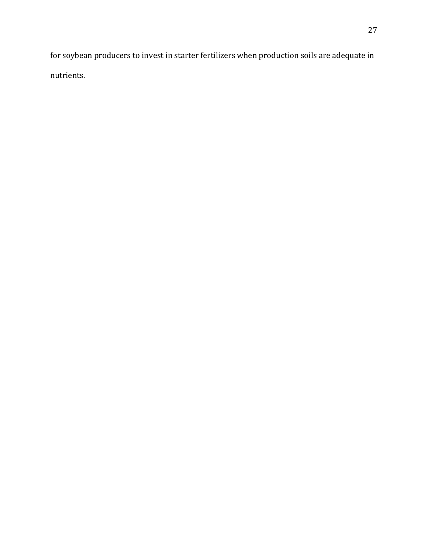for soybean producers to invest in starter fertilizers when production soils are adequate in nutrients.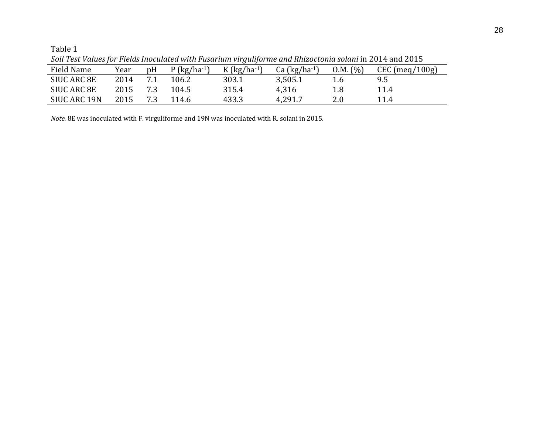| Field Name   | Year | pH  | $P$ (kg/ha <sup>-1</sup> ) | ັ<br>$K$ (kg/ha <sup>-1</sup> ) | Ca $(kg/ha^{-1})$ | 0.M. (%) | $CEC$ (meq/100g) |
|--------------|------|-----|----------------------------|---------------------------------|-------------------|----------|------------------|
| SIUC ARC 8E  | 2014 | 7.1 | 106.2                      | 303.1                           | 3,505.1           | 1.6      | 9.5              |
| SIUC ARC 8E  | 2015 | 7.3 | 104.5                      | 315.4                           | 4,316             |          | 11.4             |
| SIUC ARC 19N | 2015 | 73  | 114.6                      | 433.3                           | 4,291.7           | 2.0      | 11.4             |

*Soil Test Values for Fields Inoculated with Fusarium virguliforme and Rhizoctonia solani* in 2014 and 2015

*Note.* 8E was inoculated with F. virguliforme and 19N was inoculated with R. solani in 2015.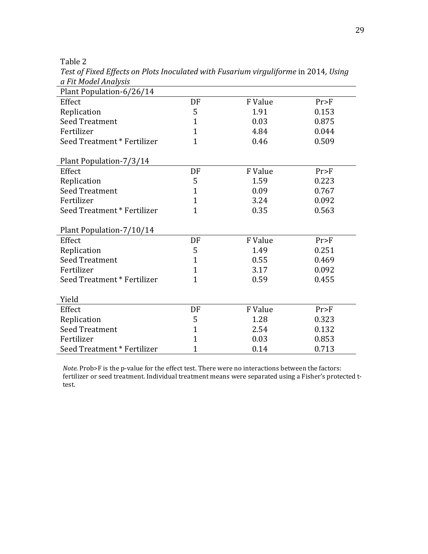| u Fit mouel Alluiysis<br>Plant Population-6/26/14 |                |         |       |
|---------------------------------------------------|----------------|---------|-------|
| Effect                                            | DF             | F Value | Pr>F  |
| Replication                                       | 5              | 1.91    | 0.153 |
| <b>Seed Treatment</b>                             | $\mathbf{1}$   | 0.03    | 0.875 |
| Fertilizer                                        | $\mathbf{1}$   | 4.84    | 0.044 |
| Seed Treatment * Fertilizer                       | $\overline{1}$ | 0.46    | 0.509 |
| Plant Population-7/3/14                           |                |         |       |
| Effect                                            | DF             | F Value | Pr>F  |
| Replication                                       | 5              | 1.59    | 0.223 |
| <b>Seed Treatment</b>                             | $\mathbf{1}$   | 0.09    | 0.767 |
| Fertilizer                                        | $\mathbf{1}$   | 3.24    | 0.092 |
| Seed Treatment * Fertilizer                       | $\mathbf{1}$   | 0.35    | 0.563 |
| Plant Population-7/10/14                          |                |         |       |
| Effect                                            | DF             | F Value | Pr>F  |
| Replication                                       | 5              | 1.49    | 0.251 |
| <b>Seed Treatment</b>                             | $\mathbf{1}$   | 0.55    | 0.469 |
| Fertilizer                                        | $\mathbf{1}$   | 3.17    | 0.092 |
| Seed Treatment * Fertilizer                       | $\overline{1}$ | 0.59    | 0.455 |
| Yield                                             |                |         |       |
| Effect                                            | DF             | F Value | Pr>F  |
| Replication                                       | 5              | 1.28    | 0.323 |
| <b>Seed Treatment</b>                             | $\mathbf{1}$   | 2.54    | 0.132 |
| Fertilizer                                        | $\mathbf{1}$   | 0.03    | 0.853 |
| Seed Treatment * Fertilizer                       | $\mathbf 1$    | 0.14    | 0.713 |

*Test of Fixed Effects on Plots Inoculated with Fusarium virguliforme* in 2014*, Using a Fit Model Analysis*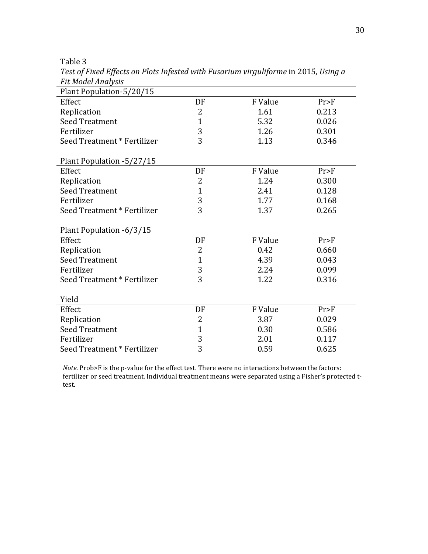| 1 IL PIOULI IIIUI JIJ<br>Plant Population-5/20/15 |                |         |       |
|---------------------------------------------------|----------------|---------|-------|
| Effect                                            | DF             | F Value | Pr>F  |
| Replication                                       | 2              | 1.61    | 0.213 |
| <b>Seed Treatment</b>                             | $\mathbf{1}$   | 5.32    | 0.026 |
| Fertilizer                                        | 3              | 1.26    | 0.301 |
| Seed Treatment * Fertilizer                       | 3              | 1.13    | 0.346 |
| Plant Population -5/27/15                         |                |         |       |
| Effect                                            | DF             | F Value | Pr>F  |
| Replication                                       | 2              | 1.24    | 0.300 |
| <b>Seed Treatment</b>                             | $\mathbf{1}$   | 2.41    | 0.128 |
| Fertilizer                                        | 3              | 1.77    | 0.168 |
| Seed Treatment * Fertilizer                       | 3              | 1.37    | 0.265 |
| Plant Population -6/3/15                          |                |         |       |
| Effect                                            | DF             | F Value | Pr>F  |
| Replication                                       | $\overline{2}$ | 0.42    | 0.660 |
| <b>Seed Treatment</b>                             | $\mathbf{1}$   | 4.39    | 0.043 |
| Fertilizer                                        | 3              | 2.24    | 0.099 |
| Seed Treatment * Fertilizer                       | 3              | 1.22    | 0.316 |
| Yield                                             |                |         |       |
| Effect                                            | DF             | F Value | Pr>F  |
| Replication                                       | 2              | 3.87    | 0.029 |
| <b>Seed Treatment</b>                             | $\mathbf{1}$   | 0.30    | 0.586 |
| Fertilizer                                        | 3              | 2.01    | 0.117 |
| Seed Treatment * Fertilizer                       | 3              | 0.59    | 0.625 |

*Test of Fixed Effects on Plots Infested with Fusarium virguliforme* in 2015*, Using a Fit Model Analysis*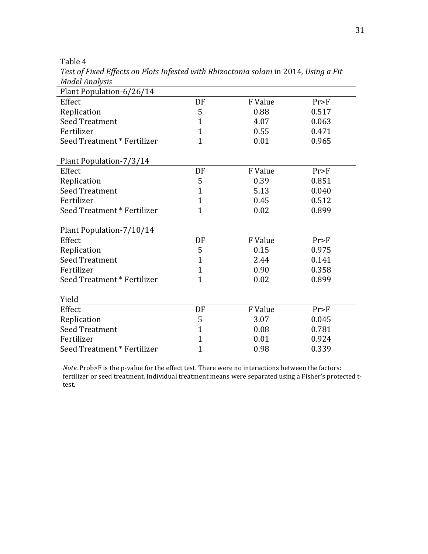| 170001111101 <i>9313</i>    |                |         |       |
|-----------------------------|----------------|---------|-------|
| Plant Population-6/26/14    |                |         |       |
| Effect                      | DF             | F Value | Pr>F  |
| Replication                 | 5              | 0.88    | 0.517 |
| <b>Seed Treatment</b>       | 1              | 4.07    | 0.063 |
| Fertilizer                  | $\mathbf{1}$   | 0.55    | 0.471 |
| Seed Treatment * Fertilizer | $\mathbf{1}$   | 0.01    | 0.965 |
| Plant Population-7/3/14     |                |         |       |
| Effect                      | DF             | F Value | Pr>F  |
| Replication                 | 5              | 0.39    | 0.851 |
| <b>Seed Treatment</b>       | $\mathbf{1}$   | 5.13    | 0.040 |
| Fertilizer                  | $\mathbf{1}$   | 0.45    | 0.512 |
| Seed Treatment * Fertilizer | $\overline{1}$ | 0.02    | 0.899 |
| Plant Population-7/10/14    |                |         |       |
| Effect                      | DF             | F Value | Pr>F  |
| Replication                 | 5              | 0.15    | 0.975 |
| <b>Seed Treatment</b>       | $\mathbf{1}$   | 2.44    | 0.141 |
| Fertilizer                  | $\mathbf{1}$   | 0.90    | 0.358 |
| Seed Treatment * Fertilizer | $\overline{1}$ | 0.02    | 0.899 |
| Yield                       |                |         |       |
| Effect                      | DF             | F Value | Pr>F  |
| Replication                 | 5              | 3.07    | 0.045 |
| <b>Seed Treatment</b>       | $\mathbf{1}$   | 0.08    | 0.781 |
| Fertilizer                  | $\overline{1}$ | 0.01    | 0.924 |
| Seed Treatment * Fertilizer | $\mathbf{1}$   | 0.98    | 0.339 |

*Test of Fixed Effects on Plots Infested with Rhizoctonia solani* in 2014*, Using a Fit Model Analysis*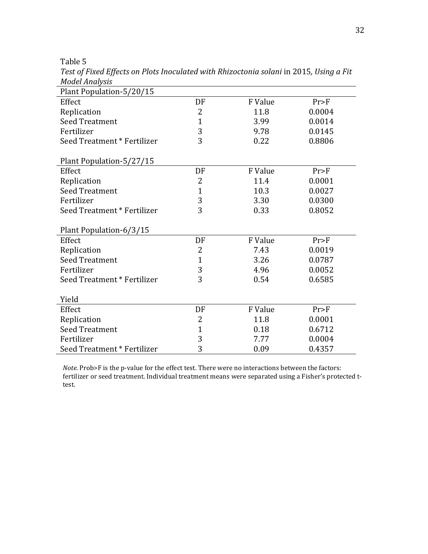| Plant Population-5/20/15    |                |         |        |
|-----------------------------|----------------|---------|--------|
| Effect                      | DF             | F Value | Pr>F   |
| Replication                 | $\overline{2}$ | 11.8    | 0.0004 |
| <b>Seed Treatment</b>       | $\mathbf{1}$   | 3.99    | 0.0014 |
| Fertilizer                  | 3              | 9.78    | 0.0145 |
| Seed Treatment * Fertilizer | 3              | 0.22    | 0.8806 |
| Plant Population-5/27/15    |                |         |        |
| Effect                      | DF             | F Value | Pr>F   |
| Replication                 | $\overline{2}$ | 11.4    | 0.0001 |
| <b>Seed Treatment</b>       | $\mathbf{1}$   | 10.3    | 0.0027 |
| Fertilizer                  | 3              | 3.30    | 0.0300 |
| Seed Treatment * Fertilizer | 3              | 0.33    | 0.8052 |
| Plant Population-6/3/15     |                |         |        |
| Effect                      | DF             | F Value | Pr>F   |
| Replication                 | $\overline{2}$ | 7.43    | 0.0019 |
| <b>Seed Treatment</b>       | $\mathbf{1}$   | 3.26    | 0.0787 |
| Fertilizer                  | 3              | 4.96    | 0.0052 |
| Seed Treatment * Fertilizer | 3              | 0.54    | 0.6585 |
| Yield                       |                |         |        |
| Effect                      | DF             | F Value | Pr>F   |
| Replication                 | 2              | 11.8    | 0.0001 |
| <b>Seed Treatment</b>       | $\mathbf{1}$   | 0.18    | 0.6712 |
| Fertilizer                  | 3              | 7.77    | 0.0004 |
| Seed Treatment * Fertilizer | 3              | 0.09    | 0.4357 |

*Test of Fixed Effects on Plots Inoculated with Rhizoctonia solani* in 2015*, Using a Fit Model Analysis*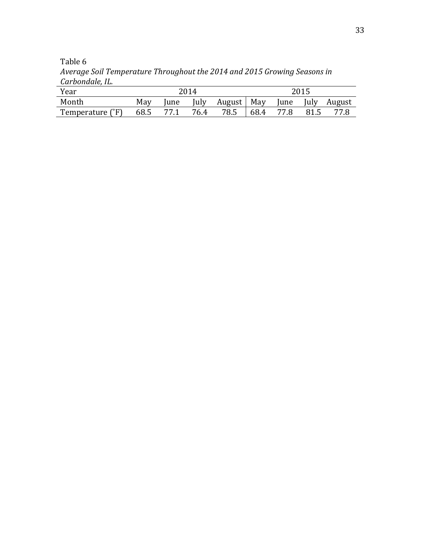| Year             | 2014 |      |       |              |      |             | 2015 |        |
|------------------|------|------|-------|--------------|------|-------------|------|--------|
| Month            | May  | lune | July. | August   May |      | <i>lune</i> | July | August |
| Temperature (°F) | 68.5 |      | 76.4  | 78.5         | 68.4 | 77.8        | 81.5 | 77.8   |

Table 6 *Average Soil Temperature Throughout the 2014 and 2015 Growing Seasons in Carbondale, IL.*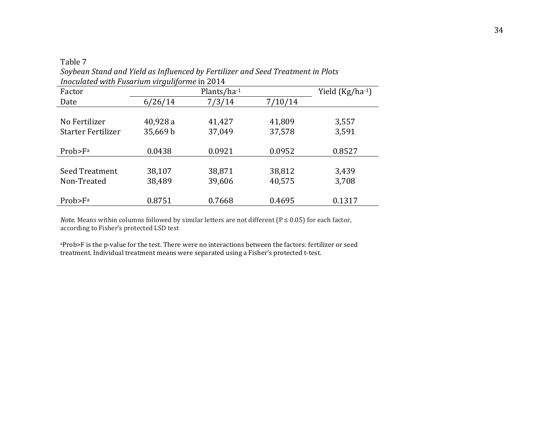| Inoculated with Fusarium virguliforme in 2014 |          |                      |         |        |  |  |  |  |  |
|-----------------------------------------------|----------|----------------------|---------|--------|--|--|--|--|--|
| Factor                                        |          | Yield $(Kg/ha^{-1})$ |         |        |  |  |  |  |  |
| Date                                          | 6/26/14  | 7/3/14               | 7/10/14 |        |  |  |  |  |  |
|                                               |          |                      |         |        |  |  |  |  |  |
| No Fertilizer                                 | 40,928 a | 41,427               | 41,809  | 3,557  |  |  |  |  |  |
| Starter Fertilizer                            | 35,669 b | 37,049               | 37,578  | 3,591  |  |  |  |  |  |
|                                               |          |                      |         |        |  |  |  |  |  |
| Prob>F <sup>a</sup>                           | 0.0438   | 0.0921               | 0.0952  | 0.8527 |  |  |  |  |  |
|                                               |          |                      |         |        |  |  |  |  |  |
| Seed Treatment                                | 38,107   | 38,871               | 38,812  | 3,439  |  |  |  |  |  |
| Non-Treated                                   | 38,489   | 39,606               | 40,575  | 3,708  |  |  |  |  |  |
|                                               |          |                      |         |        |  |  |  |  |  |
| Prob>F <sup>a</sup>                           | 0.8751   | 0.7668               | 0.4695  | 0.1317 |  |  |  |  |  |

Table 7 *Soybean Stand and Yield as Influenced by Fertilizer and Seed Treatment in Plots* 

*Note.* Means within columns followed by similar letters are not different ( $P \le 0.05$ ) for each factor, according to Fisher's protected LSD test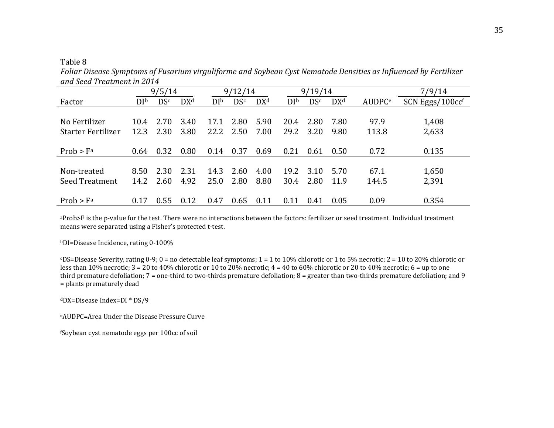*Foliar Disease Symptoms of Fusarium virguliforme and Soybean Cyst Nematode Densities as Influenced by Fertilizer and Seed Treatment in 2014* 

|                           |                | 9/5/14     |                 |                | 9/12/14    |                 |                 | 9/19/14    |                 |                           | 7/9/14          |
|---------------------------|----------------|------------|-----------------|----------------|------------|-----------------|-----------------|------------|-----------------|---------------------------|-----------------|
| Factor                    | D <sup>b</sup> | <b>DSc</b> | DX <sup>d</sup> | D <sup>b</sup> | <b>DSc</b> | DX <sup>d</sup> | DI <sup>b</sup> | <b>DSc</b> | DX <sup>d</sup> | <b>AUDPC</b> <sup>e</sup> | SCN Eggs/100ccf |
|                           |                |            |                 |                |            |                 |                 |            |                 |                           |                 |
| No Fertilizer             | 10.4           | 2.70       | 3.40            | 17.1           | 2.80       | 5.90            | 20.4            | 2.80       | 7.80            | 97.9                      | 1,408           |
| <b>Starter Fertilizer</b> | 12.3           | 2.30       | 3.80            | 22.2           | 2.50       | 7.00            | 29.2            | 3.20       | 9.80            | 113.8                     | 2,633           |
|                           |                |            |                 |                |            |                 |                 |            |                 |                           |                 |
| Prob > Fa                 | 0.64           | 0.32       | 0.80            | 0.14           | 0.37       | 0.69            | 0.21            | 0.61       | 0.50            | 0.72                      | 0.135           |
|                           |                |            |                 |                |            |                 |                 |            |                 |                           |                 |
| Non-treated               | 8.50           | 2.30       | 2.31            | 14.3           | 2.60       | 4.00            | 19.2            | 3.10       | 5.70            | 67.1                      | 1,650           |
| <b>Seed Treatment</b>     | 14.2           | 2.60       | 4.92            | 25.0           | 2.80       | 8.80            | 30.4            | 2.80       | 11.9            | 144.5                     | 2,391           |
|                           |                |            |                 |                |            |                 |                 |            |                 |                           |                 |
| $Prob$ > $Fa$             | 0.17           | 0.55       | 0.12            | 0.47           | 0.65       | 0.11            | 0.11            | 0.41       | 0.05            | 0.09                      | 0.354           |

aProb>F is the p-value for the test. There were no interactions between the factors: fertilizer or seed treatment. Individual treatment means were separated using a Fisher's protected t-test.

bDI=Disease Incidence, rating 0-100%

cDS=Disease Severity, rating 0-9; 0 = no detectable leaf symptoms; 1 = 1 to 10% chlorotic or 1 to 5% necrotic; 2 = 10 to 20% chlorotic or less than 10% necrotic;  $3 = 20$  to 40% chlorotic or 10 to 20% necrotic;  $4 = 40$  to 60% chlorotic or 20 to 40% necrotic;  $6 = \text{up to one}$  third premature defoliation; 7 = one-third to two-thirds premature defoliation; 8 = greater than two-thirds premature defoliation; and 9 = plants prematurely dead

dDX=Disease Index=DI \* DS/9

eAUDPC=Area Under the Disease Pressure Curve

fSoybean cyst nematode eggs per 100cc of soil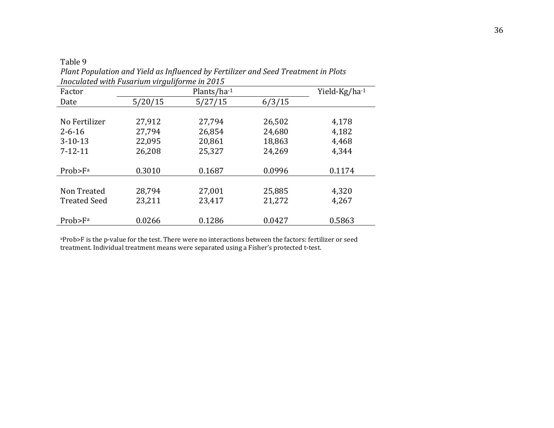| Inoculated with Fusarium virguliforme in 2015 |         |               |        |        |  |  |  |  |
|-----------------------------------------------|---------|---------------|--------|--------|--|--|--|--|
| Factor                                        |         | Yield-Kg/ha-1 |        |        |  |  |  |  |
| Date                                          | 5/20/15 | 5/27/15       | 6/3/15 |        |  |  |  |  |
|                                               |         |               |        |        |  |  |  |  |
| No Fertilizer                                 | 27,912  | 27,794        | 26,502 | 4,178  |  |  |  |  |
| $2 - 6 - 16$                                  | 27,794  | 26,854        | 24,680 | 4,182  |  |  |  |  |
| $3-10-13$                                     | 22,095  | 20,861        | 18,863 | 4,468  |  |  |  |  |
| $7 - 12 - 11$                                 | 26,208  | 25,327        | 24,269 | 4,344  |  |  |  |  |
|                                               |         |               |        |        |  |  |  |  |
| Prob>F <sup>a</sup>                           | 0.3010  | 0.1687        | 0.0996 | 0.1174 |  |  |  |  |
|                                               |         |               |        |        |  |  |  |  |
| Non Treated                                   | 28,794  | 27,001        | 25,885 | 4,320  |  |  |  |  |
| <b>Treated Seed</b>                           | 23,211  | 23,417        | 21,272 | 4,267  |  |  |  |  |
|                                               |         |               |        |        |  |  |  |  |
| Prob>F <sup>a</sup>                           | 0.0266  | 0.1286        | 0.0427 | 0.5863 |  |  |  |  |

Table 9 *Plant Population and Yield as Influenced by Fertilizer and Seed Treatment in Plots*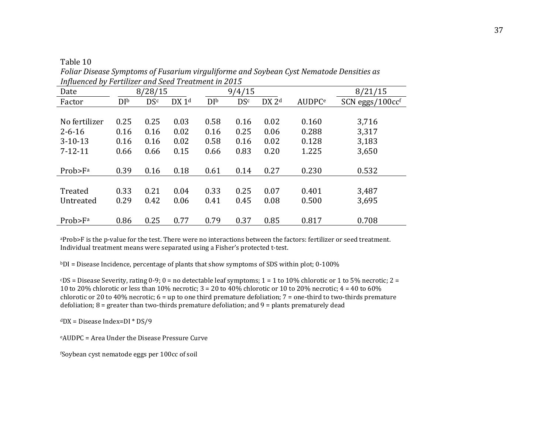| <i>i</i> able |  |
|---------------|--|
|               |  |

| <i>INfluenced by Fertilizer and seed Treatment in 2015</i> |                |            |                   |                |            |                   |                           |                      |
|------------------------------------------------------------|----------------|------------|-------------------|----------------|------------|-------------------|---------------------------|----------------------|
| Date                                                       |                | 8/28/15    |                   | 9/4/15         |            |                   | 8/21/15                   |                      |
| Factor                                                     | D <sup>b</sup> | <b>DSc</b> | DX 1 <sup>d</sup> | D <sup>1</sup> | <b>DSc</b> | DX 2 <sup>d</sup> | <b>AUDPC</b> <sup>e</sup> | $SCN$ eggs/ $100ccf$ |
|                                                            |                |            |                   |                |            |                   |                           |                      |
| No fertilizer                                              | 0.25           | 0.25       | 0.03              | 0.58           | 0.16       | 0.02              | 0.160                     | 3,716                |
| $2 - 6 - 16$                                               | 0.16           | 0.16       | 0.02              | 0.16           | 0.25       | 0.06              | 0.288                     | 3,317                |
| $3-10-13$                                                  | 0.16           | 0.16       | 0.02              | 0.58           | 0.16       | 0.02              | 0.128                     | 3,183                |
| $7 - 12 - 11$                                              | 0.66           | 0.66       | 0.15              | 0.66           | 0.83       | 0.20              | 1.225                     | 3,650                |
|                                                            |                |            |                   |                |            |                   |                           |                      |
| Prob>F <sup>a</sup>                                        | 0.39           | 0.16       | 0.18              | 0.61           | 0.14       | 0.27              | 0.230                     | 0.532                |
|                                                            |                |            |                   |                |            |                   |                           |                      |
| Treated                                                    | 0.33           | 0.21       | 0.04              | 0.33           | 0.25       | 0.07              | 0.401                     | 3,487                |
| Untreated                                                  | 0.29           | 0.42       | 0.06              | 0.41           | 0.45       | 0.08              | 0.500                     | 3,695                |
|                                                            |                |            |                   |                |            |                   |                           |                      |
| Prob>F <sup>a</sup>                                        | 0.86           | 0.25       | 0.77              | 0.79           | 0.37       | 0.85              | 0.817                     | 0.708                |

*Foliar Disease Symptoms of Fusarium virguliforme and Soybean Cyst Nematode Densities as Influenced by Fertilizer and Seed Treatment in 2015*

aProb>F is the p-value for the test. There were no interactions between the factors: fertilizer or seed treatment. Individual treatment means were separated using a Fisher's protected t-test.

 $bDI = Disease Incidence, percentage of plants that show symptoms of SDS within plot; 0-100%$ 

 $SOS = Dise$  Severity, rating 0-9; 0 = no detectable leaf symptoms; 1 = 1 to 10% chlorotic or 1 to 5% necrotic; 2 = 10 to 20% chlorotic or less than 10% necrotic;  $3 = 20$  to  $40\%$  chlorotic or 10 to 20% necrotic;  $4 = 40$  to 60% chlorotic or 20 to 40% necrotic; 6 = up to one third premature defoliation; 7 = one-third to two-thirds premature defoliation;  $8 =$  greater than two-thirds premature defoliation; and  $9 =$  plants prematurely dead

 $dDX = Disease Index = DI * DS/9$ 

eAUDPC = Area Under the Disease Pressure Curve

fSoybean cyst nematode eggs per 100cc of soil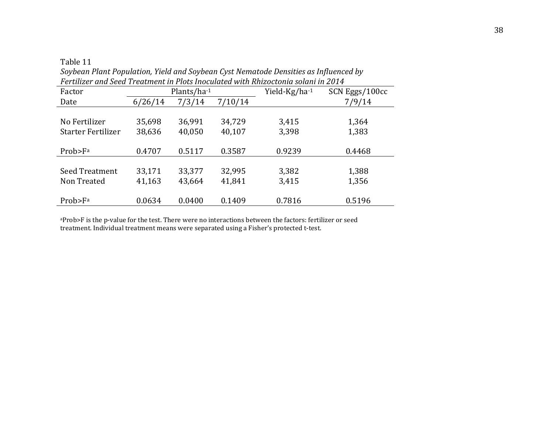| Fertilizer and Seed Treatment in Plots Inoculated with Rhizoctonia solani in 2014 |                   |        |         |               |                |
|-----------------------------------------------------------------------------------|-------------------|--------|---------|---------------|----------------|
| Factor                                                                            | Plants/ $ha^{-1}$ |        |         | Yield-Kg/ha-1 | SCN Eggs/100cc |
| Date                                                                              | 6/26/14           | 7/3/14 | 7/10/14 |               | 7/9/14         |
|                                                                                   |                   |        |         |               |                |
| No Fertilizer                                                                     | 35,698            | 36,991 | 34,729  | 3,415         | 1,364          |
| Starter Fertilizer                                                                | 38,636            | 40,050 | 40,107  | 3,398         | 1,383          |
|                                                                                   |                   |        |         |               |                |
| Prob>F <sup>a</sup>                                                               | 0.4707            | 0.5117 | 0.3587  | 0.9239        | 0.4468         |
|                                                                                   |                   |        |         |               |                |
| Seed Treatment                                                                    | 33,171            | 33,377 | 32,995  | 3,382         | 1,388          |
| Non Treated                                                                       | 41,163            | 43,664 | 41,841  | 3,415         | 1,356          |
|                                                                                   |                   |        |         |               |                |
| Prob>F <sup>a</sup>                                                               | 0.0634            | 0.0400 | 0.1409  | 0.7816        | 0.5196         |

*Soybean Plant Population, Yield and Soybean Cyst Nematode Densities as Influenced by*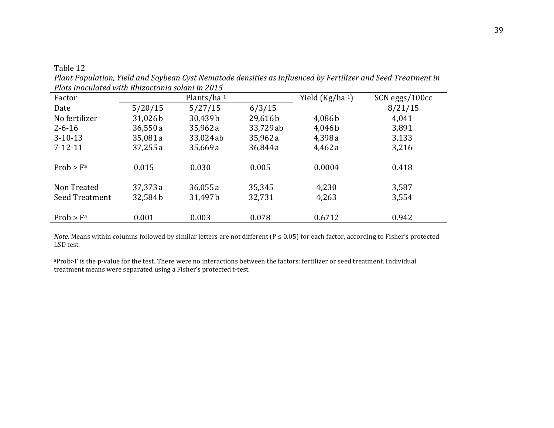*Plant Population, Yield and Soybean Cyst Nematode densities as Influenced by Fertilizer and Seed Treatment in Plots Inoculated with Rhizoctonia solani in 2015* 

| Factor         |         | Plants/ha-1 |           | Yield $(Kg/ha^{-1})$ | SCN eggs/100cc |
|----------------|---------|-------------|-----------|----------------------|----------------|
| Date           | 5/20/15 | 5/27/15     | 6/3/15    |                      | 8/21/15        |
| No fertilizer  | 31,026b | 30,439b     | 29,616b   | 4,086b               | 4,041          |
| $2 - 6 - 16$   | 36,550a | 35,962a     | 33,729 ab | 4,046b               | 3,891          |
| $3-10-13$      | 35,081a | 33,024 ab   | 35,962a   | 4,398a               | 3,133          |
| $7 - 12 - 11$  | 37,255a | 35,669 a    | 36,844 a  | 4,462 a              | 3,216          |
|                |         |             |           |                      |                |
| Prob > Fa      | 0.015   | 0.030       | 0.005     | 0.0004               | 0.418          |
|                |         |             |           |                      |                |
| Non Treated    | 37,373a | 36,055a     | 35,345    | 4,230                | 3,587          |
| Seed Treatment | 32,584b | 31,497b     | 32,731    | 4,263                | 3,554          |
|                |         |             |           |                      |                |
| Prob > Fa      | 0.001   | 0.003       | 0.078     | 0.6712               | 0.942          |

*Note.* Means within columns followed by similar letters are not different (P ≤ 0.05) for each factor, according to Fisher's protected LSD test.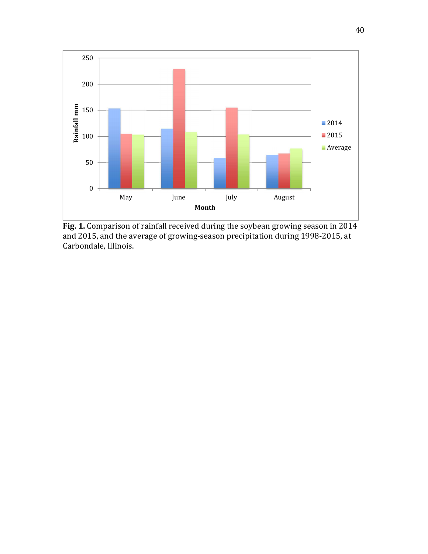

**Fig. 1.** Comparison of rainfall received during the soybean growing season in 2014 and 2015, and the average of growing-season precipitation during 1998-2015, at Carbondale, Illinois.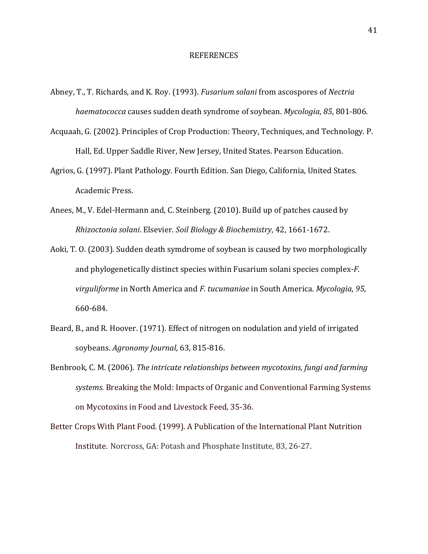#### REFERENCES

- Abney, T., T. Richards, and K. Roy. (1993). *Fusarium solani* from ascospores of *Nectria haematococca* causes sudden death syndrome of soybean. *Mycologia*, *85*, 801-806.
- Acquaah, G. (2002). Principles of Crop Production: Theory, Techniques, and Technology*.* P. Hall, Ed. Upper Saddle River, New Jersey, United States. Pearson Education.
- Agrios, G. (1997). Plant Pathology. Fourth Edition*.* San Diego, California, United States. Academic Press.
- Anees, M., V. Edel-Hermann and, C. Steinberg. (2010). Build up of patches caused by *Rhizoctonia solani*. Elsevier*. Soil Biology & Biochemistry*, 42, 1661-1672.
- Aoki, T. O. (2003). Sudden death symdrome of soybean is caused by two morphologically and phylogenetically distinct species within Fusarium solani species complex-*F. virguliforme* in North America and *F. tucumaniae* in South America. *Mycologia*, *95*, 660-684.
- Beard, B., and R. Hoover. (1971). Effect of nitrogen on nodulation and yield of irrigated soybeans. *Agronomy Journal*, 63, 815-816.
- Benbrook, C. M. (2006). *The intricate relationships between mycotoxins, fungi and farming systems.* Breaking the Mold: Impacts of Organic and Conventional Farming Systems on Mycotoxins in Food and Livestock Feed, 35-36.
- Better Crops With Plant Food. (1999). A Publication of the International Plant Nutrition Institute. Norcross, GA: Potash and Phosphate Institute, 83, 26-27.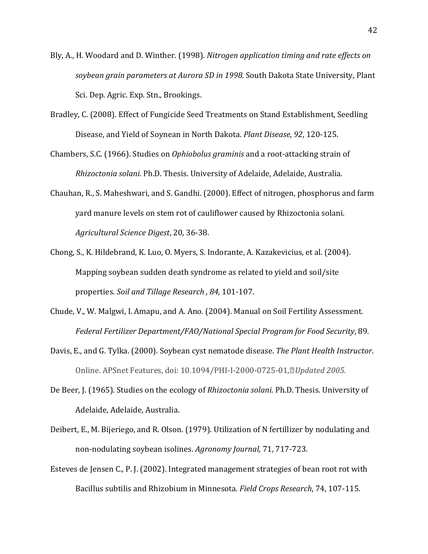- Bly, A., H. Woodard and D. Winther. (1998). *Nitrogen application timing and rate effects on soybean grain parameters at Aurora SD in 1998.* South Dakota State University, Plant Sci. Dep. Agric. Exp. Stn., Brookings.
- Bradley, C. (2008). Effect of Fungicide Seed Treatments on Stand Establishment, Seedling Disease, and Yield of Soynean in North Dakota. *Plant Disease*, *92*, 120-125.
- Chambers, S.C. (1966). Studies on *Ophiobolus graminis* and a root-attacking strain of *Rhizoctonia solani.* Ph.D. Thesis. University of Adelaide, Adelaide, Australia.
- Chauhan, R., S. Maheshwari, and S. Gandhi. (2000). Effect of nitrogen, phosphorus and farm yard manure levels on stem rot of cauliflower caused by Rhizoctonia solani. *Agricultural Science Digest*, 20, 36-38.
- Chong, S., K. Hildebrand, K. Luo, O. Myers, S. Indorante, A. Kazakevicius, et al. (2004). Mapping soybean sudden death syndrome as related to yield and soil/site properties. *Soil and Tillage Research , 84,* 101-107.
- Chude, V., W. Malgwi, I. Amapu, and A. Ano. (2004). Manual on Soil Fertility Assessment. *Federal Fertilizer Department/FAO/National Special Program for Food Security*, 89.
- Davis, E., and G. Tylka. (2000). Soybean cyst nematode disease. *The Plant Health Instructor*. Online. APSnet Features, doi: 10.1094/PHI-I-2000-0725-01, *Updated 2005.*
- De Beer, J. (1965). Studies on the ecology of *Rhizoctonia solani.* Ph.D. Thesis. University of Adelaide, Adelaide, Australia.
- Deibert, E., M. Bijeriego, and R. Olson. (1979). Utilization of N fertillizer by nodulating and non-nodulating soybean isolines. *Agronomy Journal,* 71, 717-723.
- Esteves de Jensen C., P. J. (2002). Integrated management strategies of bean root rot with Bacillus subtilis and Rhizobium in Minnesota. *Field Crops Research*, 74, 107-115.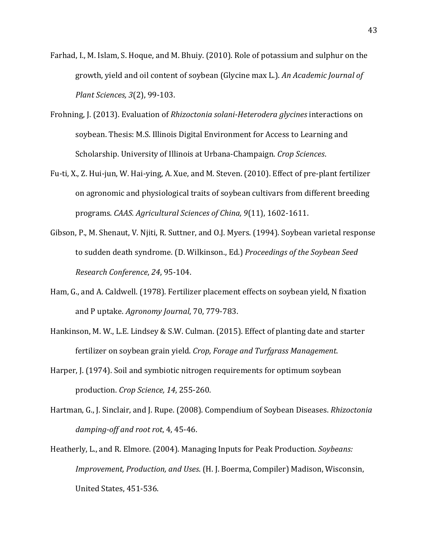- Farhad, I., M. Islam, S. Hoque, and M. Bhuiy. (2010). Role of potassium and sulphur on the growth, yield and oil content of soybean (Glycine max L.). *An Academic Journal of Plant Sciences, 3*(2), 99-103.
- Frohning, J. (2013). Evaluation of *Rhizoctonia solani-Heterodera glycines* interactions on soybean. Thesis: M.S. Illinois Digital Environment for Access to Learning and Scholarship. University of Illinois at Urbana-Champaign. *Crop Sciences*.
- Fu-ti, X., Z. Hui-jun, W. Hai-ying, A. Xue, and M. Steven. (2010). Effect of pre-plant fertilizer on agronomic and physiological traits of soybean cultivars from different breeding programs. *CAAS. Agricultural Sciences of China, 9*(11), 1602-1611.
- Gibson, P., M. Shenaut, V. Njiti, R. Suttner, and O.J. Myers. (1994). Soybean varietal response to sudden death syndrome. (D. Wilkinson., Ed.) *Proceedings of the Soybean Seed Research Conference*, *24*, 95-104.
- Ham, G., and A. Caldwell. (1978). Fertilizer placement effects on soybean yield, N fixation and P uptake. *Agronomy Journal*, 70, 779-783.
- Hankinson, M. W., L.E. Lindsey & S.W. Culman. (2015). Effect of planting date and starter fertilizer on soybean grain yield. *Crop, Forage and Turfgrass Management*.
- Harper, J. (1974). Soil and symbiotic nitrogen requirements for optimum soybean production. *Crop Science, 14*, 255-260.
- Hartman, G., J. Sinclair, and J. Rupe. (2008). Compendium of Soybean Diseases. *Rhizoctonia damping-off and root rot*, 4, 45-46.
- Heatherly, L., and R. Elmore. (2004). Managing Inputs for Peak Production. *Soybeans: Improvement, Production, and Uses*. (H. J. Boerma, Compiler) Madison, Wisconsin, United States, 451-536.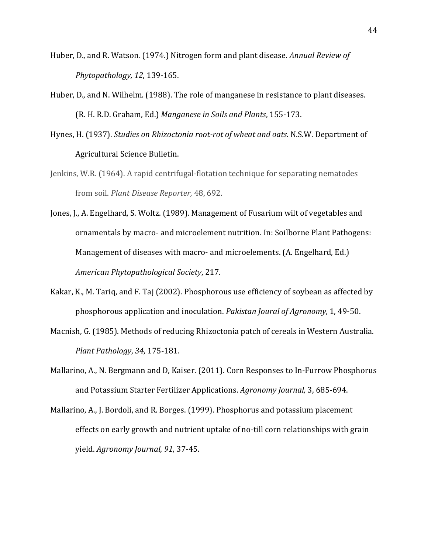- Huber, D., and R. Watson. (1974.) Nitrogen form and plant disease. *Annual Review of Phytopathology, 12*, 139-165.
- Huber, D., and N. Wilhelm. (1988). The role of manganese in resistance to plant diseases. (R. H. R.D. Graham, Ed.) *Manganese in Soils and Plants*, 155-173.
- Hynes, H. (1937). *Studies on Rhizoctonia root-rot of wheat and oats.* N.S.W. Department of Agricultural Science Bulletin.
- Jenkins, W.R. (1964). A rapid centrifugal-flotation technique for separating nematodes from soil. *Plant Disease Reporter,* 48, 692.
- Jones, J., A. Engelhard, S. Woltz. (1989). Management of Fusarium wilt of vegetables and ornamentals by macro- and microelement nutrition. In: Soilborne Plant Pathogens: Management of diseases with macro- and microelements. (A. Engelhard, Ed.) *American Phytopathological Society*, 217.
- Kakar, K., M. Tariq, and F. Taj (2002). Phosphorous use efficiency of soybean as affected by phosphorous application and inoculation. *Pakistan Joural of Agronomy,* 1, 49-50.
- Macnish, G. (1985). Methods of reducing Rhizoctonia patch of cereals in Western Australia. *Plant Pathology*, *34*, 175-181.
- Mallarino, A., N. Bergmann and D, Kaiser. (2011). Corn Responses to In-Furrow Phosphorus and Potassium Starter Fertilizer Applications. *Agronomy Journal,* 3, 685-694.
- Mallarino, A., J. Bordoli, and R. Borges. (1999). Phosphorus and potassium placement effects on early growth and nutrient uptake of no-till corn relationships with grain yield. *Agronomy Journal*, *91*, 37-45.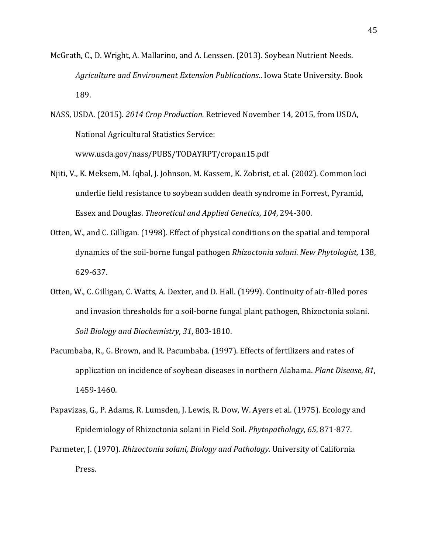- McGrath, C., D. Wright, A. Mallarino, and A. Lenssen. (2013). Soybean Nutrient Needs. *Agriculture and Environment Extension Publications*.. Iowa State University. Book 189.
- NASS, USDA. (2015). *2014 Crop Production.* Retrieved November 14, 2015, from USDA, National Agricultural Statistics Service: www.usda.gov/nass/PUBS/TODAYRPT/cropan15.pdf
- Njiti, V., K. Meksem, M. Iqbal, J. Johnson, M. Kassem, K. Zobrist, et al. (2002). Common loci underlie field resistance to soybean sudden death syndrome in Forrest, Pyramid, Essex and Douglas. *Theoretical and Applied Genetics*, *104*, 294-300.
- Otten, W., and C. Gilligan. (1998). Effect of physical conditions on the spatial and temporal dynamics of the soil-borne fungal pathogen *Rhizoctonia solani*. *New Phytologist,* 138, 629-637.
- Otten, W., C. Gilligan, C. Watts, A. Dexter, and D. Hall. (1999). Continuity of air-filled pores and invasion thresholds for a soil-borne fungal plant pathogen, Rhizoctonia solani. *Soil Biology and Biochemistry*, *31*, 803-1810.
- Pacumbaba, R., G. Brown, and R. Pacumbaba. (1997). Effects of fertilizers and rates of application on incidence of soybean diseases in northern Alabama. *Plant Disease*, *81*, 1459-1460.
- Papavizas, G., P. Adams, R. Lumsden, J. Lewis, R. Dow, W. Ayers et al. (1975). Ecology and Epidemiology of Rhizoctonia solani in Field Soil. *Phytopathology*, *65*, 871-877.
- Parmeter, J. (1970). *Rhizoctonia solani, Biology and Pathology.* University of California Press.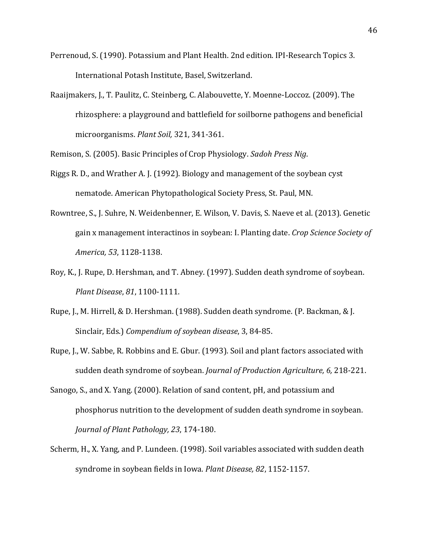- Perrenoud, S. (1990). Potassium and Plant Health. 2nd edition. IPI-Research Topics 3. International Potash Institute, Basel, Switzerland.
- Raaijmakers, J., T. Paulitz, C. Steinberg, C. Alabouvette, Y. Moenne-Loccoz. (2009). The rhizosphere: a playground and battlefield for soilborne pathogens and beneficial microorganisms. *Plant Soil,* 321, 341-361.
- Remison, S. (2005). Basic Principles of Crop Physiology. *Sadoh Press Nig*.
- Riggs R. D., and Wrather A. J. (1992). Biology and management of the soybean cyst nematode. American Phytopathological Society Press, St. Paul, MN.
- Rowntree, S., J. Suhre, N. Weidenbenner, E. Wilson, V. Davis, S. Naeve et al. (2013). Genetic gain x management interactinos in soybean: I. Planting date. *Crop Science Society of America, 53*, 1128-1138.
- Roy, K., J. Rupe, D. Hershman, and T. Abney. (1997). Sudden death syndrome of soybean. *Plant Disease*, *81*, 1100-1111.
- Rupe, J., M. Hirrell, & D. Hershman. (1988). Sudden death syndrome. (P. Backman, & J. Sinclair, Eds.) *Compendium of soybean disease*, 3, 84-85.
- Rupe, J., W. Sabbe, R. Robbins and E. Gbur. (1993). Soil and plant factors associated with sudden death syndrome of soybean. *Journal of Production Agriculture, 6,* 218-221.
- Sanogo, S., and X. Yang. (2000). Relation of sand content, pH, and potassium and phosphorus nutrition to the development of sudden death syndrome in soybean. *Journal of Plant Pathology, 23*, 174-180.
- Scherm, H., X. Yang, and P. Lundeen. (1998). Soil variables associated with sudden death syndrome in soybean fields in Iowa. *Plant Disease, 82*, 1152-1157.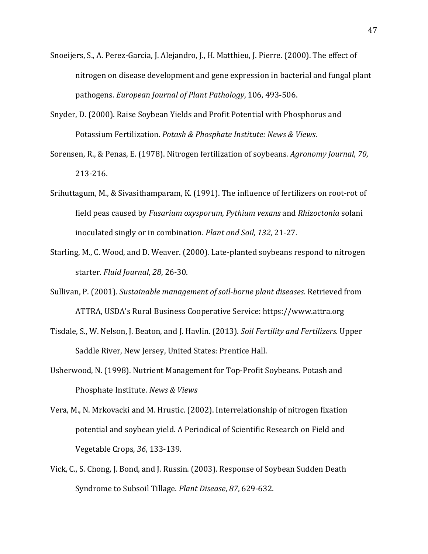- Snoeijers, S., A. Perez-Garcia, J. Alejandro, J., H. Matthieu, J. Pierre. (2000). The effect of nitrogen on disease development and gene expression in bacterial and fungal plant pathogens. *European Journal of Plant Pathology*, 106, 493-506.
- Snyder, D. (2000). Raise Soybean Yields and Profit Potential with Phosphorus and Potassium Fertilization. *Potash & Phosphate Institute: News & Views*.
- Sorensen, R., & Penas, E. (1978). Nitrogen fertilization of soybeans. *Agronomy Journal*, *70*, 213-216.
- Srihuttagum, M., & Sivasithamparam, K. (1991). The influence of fertilizers on root-rot of field peas caused by *Fusarium oxysporum*, *Pythium vexans* and *Rhizoctonia* solani inoculated singly or in combination. *Plant and Soil, 132*, 21-27.
- Starling, M., C. Wood, and D. Weaver. (2000). Late-planted soybeans respond to nitrogen starter. *Fluid Journal*, *28*, 26-30.
- Sullivan, P. (2001). *Sustainable management of soil-borne plant diseases.* Retrieved from ATTRA, USDA's Rural Business Cooperative Service: https://www.attra.org
- Tisdale, S., W. Nelson, J. Beaton, and J. Havlin. (2013). *Soil Fertility and Fertilizers.* Upper Saddle River, New Jersey, United States: Prentice Hall.
- Usherwood, N. (1998). Nutrient Management for Top-Profit Soybeans. Potash and Phosphate Institute. *News & Views*
- Vera, M., N. Mrkovacki and M. Hrustic. (2002). Interrelationship of nitrogen fixation potential and soybean yield. A Periodical of Scientific Research on Field and Vegetable Crops*, 36*, 133-139.
- Vick, C., S. Chong, J. Bond, and J. Russin. (2003). Response of Soybean Sudden Death Syndrome to Subsoil Tillage. *Plant Disease*, *87*, 629-632.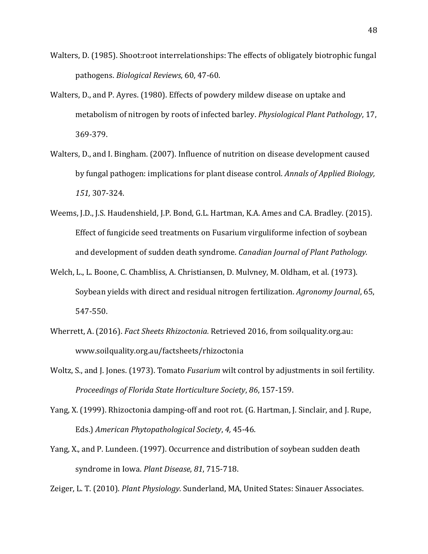- Walters, D. (1985). Shoot:root interrelationships: The effects of obligately biotrophic fungal pathogens. *Biological Reviews*, 60, 47-60.
- Walters, D., and P. Ayres. (1980). Effects of powdery mildew disease on uptake and metabolism of nitrogen by roots of infected barley. *Physiological Plant Pathology*, 17, 369-379.
- Walters, D., and I. Bingham. (2007). Influence of nutrition on disease development caused by fungal pathogen: implications for plant disease control. *Annals of Applied Biology, 151,* 307-324.
- Weems, J.D., J.S. Haudenshield, J.P. Bond, G.L. Hartman, K.A. Ames and C.A. Bradley. (2015). Effect of fungicide seed treatments on Fusarium virguliforme infection of soybean and development of sudden death syndrome. *Canadian Journal of Plant Pathology.*
- Welch, L., L. Boone, C. Chambliss, A. Christiansen, D. Mulvney, M. Oldham, et al. (1973). Soybean yields with direct and residual nitrogen fertilization. *Agronomy Journal*, 65, 547-550.
- Wherrett, A. (2016). *Fact Sheets Rhizoctonia.* Retrieved 2016, from soilquality.org.au: www.soilquality.org.au/factsheets/rhizoctonia
- Woltz, S., and J. Jones. (1973). Tomato *Fusarium* wilt control by adjustments in soil fertility. *Proceedings of Florida State Horticulture Society*, *86*, 157-159.
- Yang, X. (1999). Rhizoctonia damping-off and root rot. (G. Hartman, J. Sinclair, and J. Rupe, Eds.) *American Phytopathological Society*, *4,* 45-46.
- Yang, X., and P. Lundeen. (1997). Occurrence and distribution of soybean sudden death syndrome in Iowa. *Plant Disease*, *81*, 715-718.

Zeiger, L. T. (2010). *Plant Physiology.* Sunderland, MA, United States: Sinauer Associates.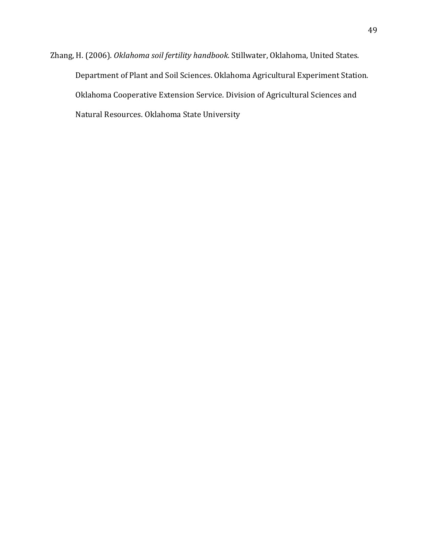Zhang, H. (2006). *Oklahoma soil fertility handbook.* Stillwater, Oklahoma, United States. Department of Plant and Soil Sciences. Oklahoma Agricultural Experiment Station. Oklahoma Cooperative Extension Service. Division of Agricultural Sciences and Natural Resources. Oklahoma State University